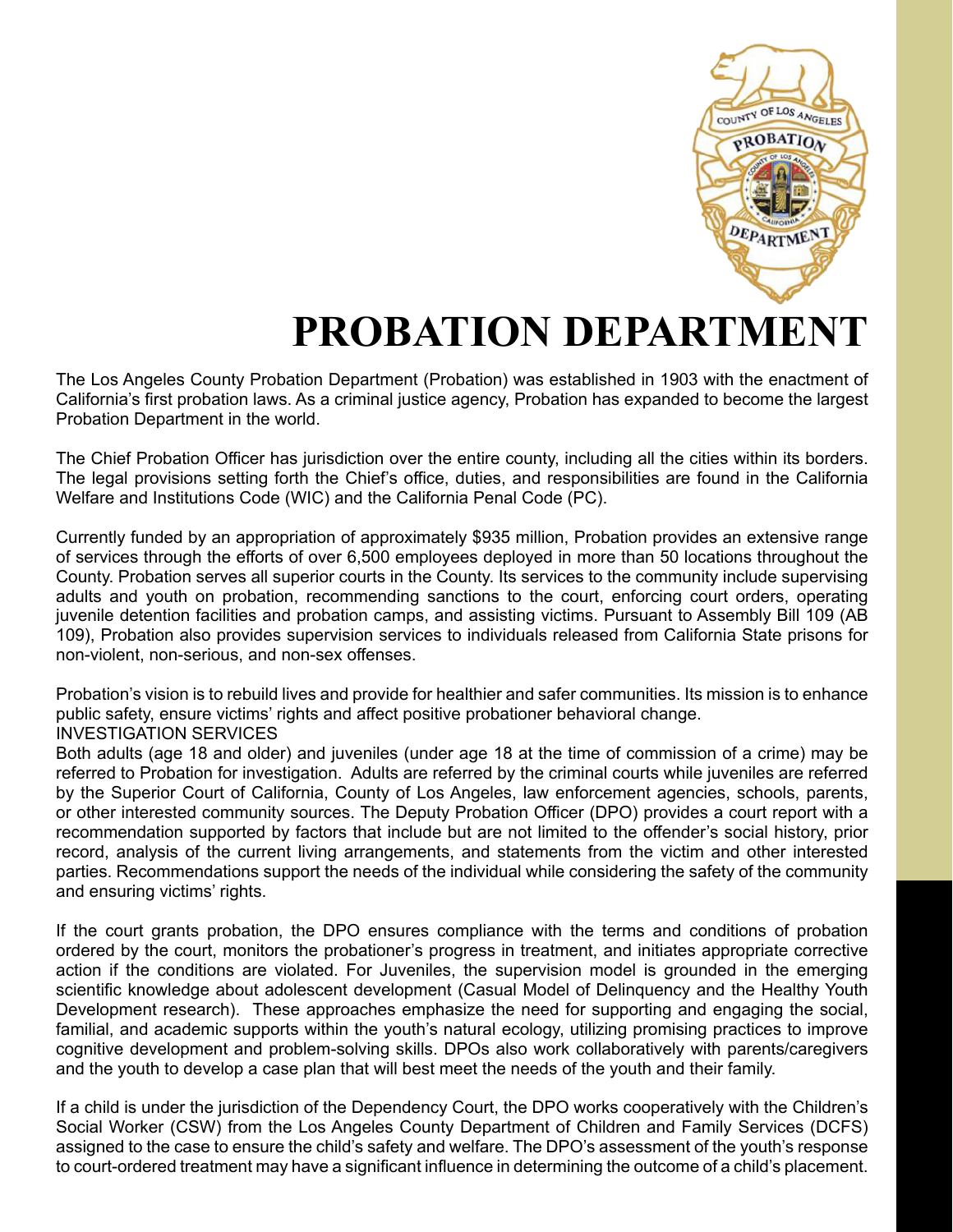

# **PROBATION DEPARTMENT**

The Los Angeles County Probation Department (Probation) was established in 1903 with the enactment of California's first probation laws. As a criminal justice agency, Probation has expanded to become the largest Probation Department in the world.

The Chief Probation Officer has jurisdiction over the entire county, including all the cities within its borders. The legal provisions setting forth the Chief's office, duties, and responsibilities are found in the California Welfare and Institutions Code (WIC) and the California Penal Code (PC).

Currently funded by an appropriation of approximately \$935 million, Probation provides an extensive range of services through the efforts of over 6,500 employees deployed in more than 50 locations throughout the County. Probation serves all superior courts in the County. Its services to the community include supervising adults and youth on probation, recommending sanctions to the court, enforcing court orders, operating juvenile detention facilities and probation camps, and assisting victims. Pursuant to Assembly Bill 109 (AB 109), Probation also provides supervision services to individuals released from California State prisons for non-violent, non-serious, and non-sex offenses.

Probation's vision is to rebuild lives and provide for healthier and safer communities. Its mission is to enhance public safety, ensure victims' rights and affect positive probationer behavioral change. INVESTIGATION SERVICES

Both adults (age 18 and older) and juveniles (under age 18 at the time of commission of a crime) may be referred to Probation for investigation. Adults are referred by the criminal courts while juveniles are referred by the Superior Court of California, County of Los Angeles, law enforcement agencies, schools, parents, or other interested community sources. The Deputy Probation Officer (DPO) provides a court report with a recommendation supported by factors that include but are not limited to the offender's social history, prior record, analysis of the current living arrangements, and statements from the victim and other interested parties. Recommendations support the needs of the individual while considering the safety of the community and ensuring victims' rights.

If the court grants probation, the DPO ensures compliance with the terms and conditions of probation ordered by the court, monitors the probationer's progress in treatment, and initiates appropriate corrective action if the conditions are violated. For Juveniles, the supervision model is grounded in the emerging scientific knowledge about adolescent development (Casual Model of Delinquency and the Healthy Youth Development research). These approaches emphasize the need for supporting and engaging the social, familial, and academic supports within the youth's natural ecology, utilizing promising practices to improve cognitive development and problem-solving skills. DPOs also work collaboratively with parents/caregivers and the youth to develop a case plan that will best meet the needs of the youth and their family.

If a child is under the jurisdiction of the Dependency Court, the DPO works cooperatively with the Children's Social Worker (CSW) from the Los Angeles County Department of Children and Family Services (DCFS) assigned to the case to ensure the child's safety and welfare. The DPO's assessment of the youth's response to court-ordered treatment may have a significant influence in determining the outcome of a child's placement.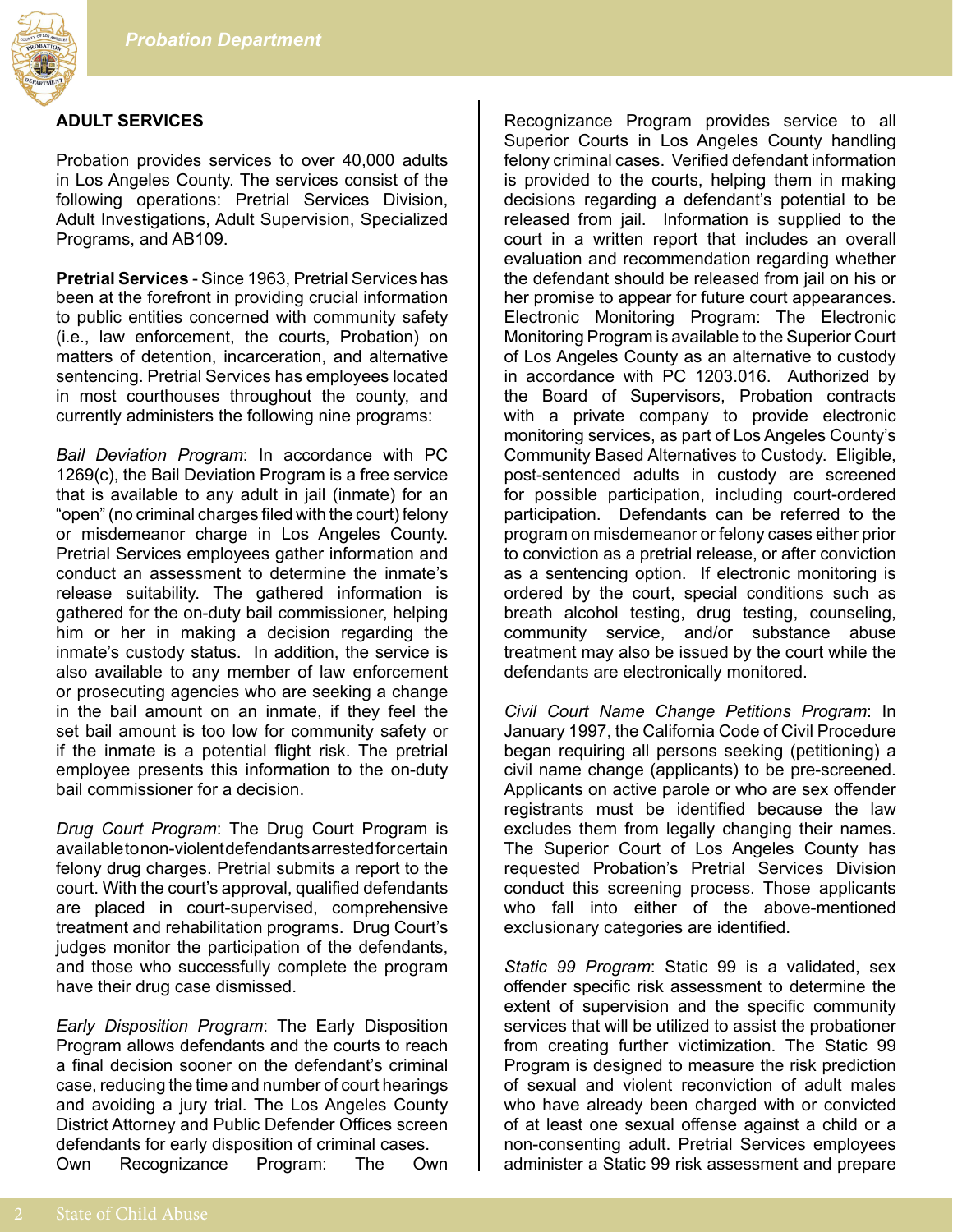

#### **ADULT SERVICES**

Probation provides services to over 40,000 adults in Los Angeles County. The services consist of the following operations: Pretrial Services Division, Adult Investigations, Adult Supervision, Specialized Programs, and AB109.

**Pretrial Services** - Since 1963, Pretrial Services has been at the forefront in providing crucial information to public entities concerned with community safety (i.e., law enforcement, the courts, Probation) on matters of detention, incarceration, and alternative sentencing. Pretrial Services has employees located in most courthouses throughout the county, and currently administers the following nine programs:

*Bail Deviation Program*: In accordance with PC 1269(c), the Bail Deviation Program is a free service that is available to any adult in jail (inmate) for an "open" (no criminal charges filed with the court) felony or misdemeanor charge in Los Angeles County. Pretrial Services employees gather information and conduct an assessment to determine the inmate's release suitability. The gathered information is gathered for the on-duty bail commissioner, helping him or her in making a decision regarding the inmate's custody status. In addition, the service is also available to any member of law enforcement or prosecuting agencies who are seeking a change in the bail amount on an inmate, if they feel the set bail amount is too low for community safety or if the inmate is a potential flight risk. The pretrial employee presents this information to the on-duty bail commissioner for a decision.

*Drug Court Program*: The Drug Court Program is available to non-violent defendants arrested for certain felony drug charges. Pretrial submits a report to the court. With the court's approval, qualified defendants are placed in court-supervised, comprehensive treatment and rehabilitation programs. Drug Court's judges monitor the participation of the defendants, and those who successfully complete the program have their drug case dismissed.

*Early Disposition Program*: The Early Disposition Program allows defendants and the courts to reach a final decision sooner on the defendant's criminal case, reducing the time and number of court hearings and avoiding a jury trial. The Los Angeles County District Attorney and Public Defender Offices screen defendants for early disposition of criminal cases.

Own Recognizance Program: The Own

Recognizance Program provides service to all Superior Courts in Los Angeles County handling felony criminal cases. Verified defendant information is provided to the courts, helping them in making decisions regarding a defendant's potential to be released from jail. Information is supplied to the court in a written report that includes an overall evaluation and recommendation regarding whether the defendant should be released from jail on his or her promise to appear for future court appearances. Electronic Monitoring Program: The Electronic Monitoring Program is available to the Superior Court of Los Angeles County as an alternative to custody in accordance with PC 1203.016. Authorized by the Board of Supervisors, Probation contracts with a private company to provide electronic monitoring services, as part of Los Angeles County's Community Based Alternatives to Custody. Eligible, post-sentenced adults in custody are screened for possible participation, including court-ordered participation. Defendants can be referred to the program on misdemeanor or felony cases either prior to conviction as a pretrial release, or after conviction as a sentencing option. If electronic monitoring is ordered by the court, special conditions such as breath alcohol testing, drug testing, counseling, community service, and/or substance abuse treatment may also be issued by the court while the defendants are electronically monitored.

*Civil Court Name Change Petitions Program*: In January 1997, the California Code of Civil Procedure began requiring all persons seeking (petitioning) a civil name change (applicants) to be pre-screened. Applicants on active parole or who are sex offender registrants must be identified because the law excludes them from legally changing their names. The Superior Court of Los Angeles County has requested Probation's Pretrial Services Division conduct this screening process. Those applicants who fall into either of the above-mentioned exclusionary categories are identified.

*Static 99 Program*: Static 99 is a validated, sex offender specific risk assessment to determine the extent of supervision and the specific community services that will be utilized to assist the probationer from creating further victimization. The Static 99 Program is designed to measure the risk prediction of sexual and violent reconviction of adult males who have already been charged with or convicted of at least one sexual offense against a child or a non-consenting adult. Pretrial Services employees administer a Static 99 risk assessment and prepare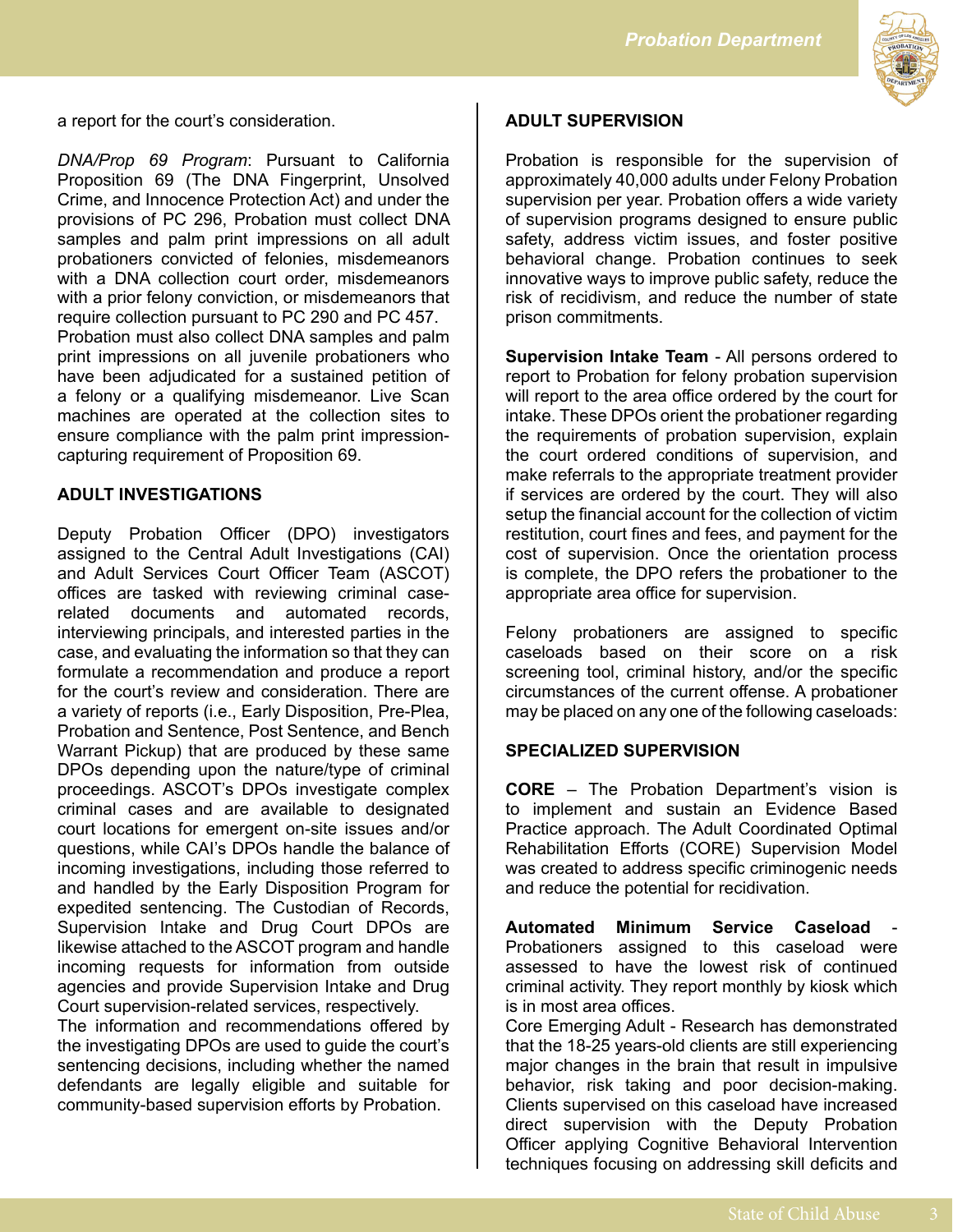

a report for the court's consideration.

*DNA/Prop 69 Program*: Pursuant to California Proposition 69 (The DNA Fingerprint, Unsolved Crime, and Innocence Protection Act) and under the provisions of PC 296, Probation must collect DNA samples and palm print impressions on all adult probationers convicted of felonies, misdemeanors with a DNA collection court order, misdemeanors with a prior felony conviction, or misdemeanors that require collection pursuant to PC 290 and PC 457. Probation must also collect DNA samples and palm print impressions on all juvenile probationers who have been adjudicated for a sustained petition of a felony or a qualifying misdemeanor. Live Scan machines are operated at the collection sites to ensure compliance with the palm print impressioncapturing requirement of Proposition 69.

#### **ADULT INVESTIGATIONS**

Deputy Probation Officer (DPO) investigators assigned to the Central Adult Investigations (CAI) and Adult Services Court Officer Team (ASCOT) offices are tasked with reviewing criminal caserelated documents and automated records, interviewing principals, and interested parties in the case, and evaluating the information so that they can formulate a recommendation and produce a report for the court's review and consideration. There are a variety of reports (i.e., Early Disposition, Pre-Plea, Probation and Sentence, Post Sentence, and Bench Warrant Pickup) that are produced by these same DPOs depending upon the nature/type of criminal proceedings. ASCOT's DPOs investigate complex criminal cases and are available to designated court locations for emergent on-site issues and/or questions, while CAI's DPOs handle the balance of incoming investigations, including those referred to and handled by the Early Disposition Program for expedited sentencing. The Custodian of Records, Supervision Intake and Drug Court DPOs are likewise attached to the ASCOT program and handle incoming requests for information from outside agencies and provide Supervision Intake and Drug Court supervision-related services, respectively.

The information and recommendations offered by the investigating DPOs are used to guide the court's sentencing decisions, including whether the named defendants are legally eligible and suitable for community-based supervision efforts by Probation.

#### **ADULT SUPERVISION**

Probation is responsible for the supervision of approximately 40,000 adults under Felony Probation supervision per year. Probation offers a wide variety of supervision programs designed to ensure public safety, address victim issues, and foster positive behavioral change. Probation continues to seek innovative ways to improve public safety, reduce the risk of recidivism, and reduce the number of state prison commitments.

**Supervision Intake Team** - All persons ordered to report to Probation for felony probation supervision will report to the area office ordered by the court for intake. These DPOs orient the probationer regarding the requirements of probation supervision, explain the court ordered conditions of supervision, and make referrals to the appropriate treatment provider if services are ordered by the court. They will also setup the financial account for the collection of victim restitution, court fines and fees, and payment for the cost of supervision. Once the orientation process is complete, the DPO refers the probationer to the appropriate area office for supervision.

Felony probationers are assigned to specific caseloads based on their score on a risk screening tool, criminal history, and/or the specific circumstances of the current offense. A probationer may be placed on any one of the following caseloads:

#### **SPECIALIZED SUPERVISION**

**CORE** – The Probation Department's vision is to implement and sustain an Evidence Based Practice approach. The Adult Coordinated Optimal Rehabilitation Efforts (CORE) Supervision Model was created to address specific criminogenic needs and reduce the potential for recidivation.

**Automated Minimum Service Caseload** Probationers assigned to this caseload were assessed to have the lowest risk of continued criminal activity. They report monthly by kiosk which is in most area offices.

Core Emerging Adult - Research has demonstrated that the 18-25 years-old clients are still experiencing major changes in the brain that result in impulsive behavior, risk taking and poor decision-making. Clients supervised on this caseload have increased direct supervision with the Deputy Probation Officer applying Cognitive Behavioral Intervention techniques focusing on addressing skill deficits and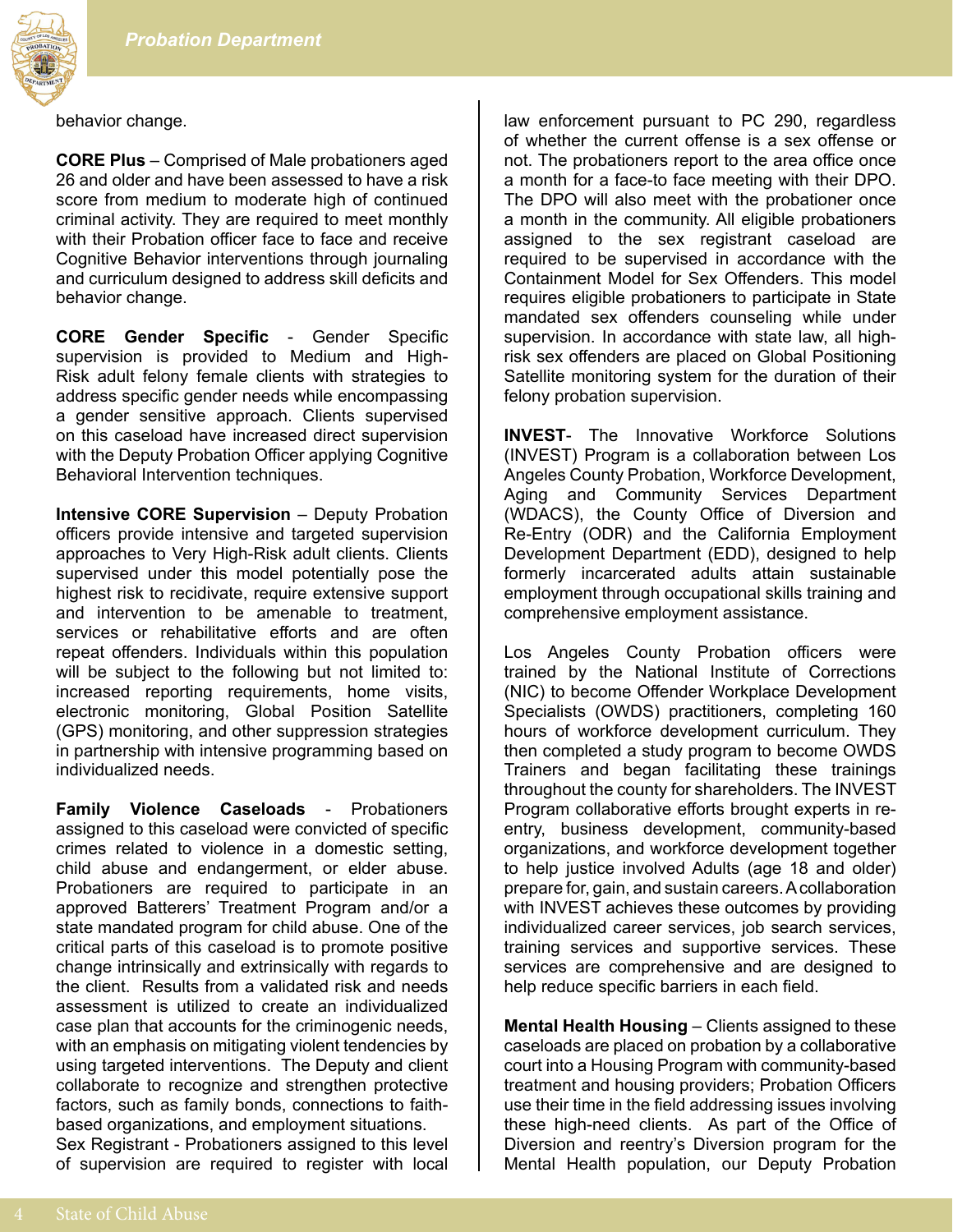

behavior change.

**CORE Plus** – Comprised of Male probationers aged 26 and older and have been assessed to have a risk score from medium to moderate high of continued criminal activity. They are required to meet monthly with their Probation officer face to face and receive Cognitive Behavior interventions through journaling and curriculum designed to address skill deficits and behavior change.

**CORE Gender Specific** - Gender Specific supervision is provided to Medium and High-Risk adult felony female clients with strategies to address specific gender needs while encompassing a gender sensitive approach. Clients supervised on this caseload have increased direct supervision with the Deputy Probation Officer applying Cognitive Behavioral Intervention techniques.

**Intensive CORE Supervision** – Deputy Probation officers provide intensive and targeted supervision approaches to Very High-Risk adult clients. Clients supervised under this model potentially pose the highest risk to recidivate, require extensive support and intervention to be amenable to treatment, services or rehabilitative efforts and are often repeat offenders. Individuals within this population will be subject to the following but not limited to: increased reporting requirements, home visits, electronic monitoring, Global Position Satellite (GPS) monitoring, and other suppression strategies in partnership with intensive programming based on individualized needs.

**Family Violence Caseloads** - Probationers assigned to this caseload were convicted of specific crimes related to violence in a domestic setting, child abuse and endangerment, or elder abuse. Probationers are required to participate in an approved Batterers' Treatment Program and/or a state mandated program for child abuse. One of the critical parts of this caseload is to promote positive change intrinsically and extrinsically with regards to the client. Results from a validated risk and needs assessment is utilized to create an individualized case plan that accounts for the criminogenic needs, with an emphasis on mitigating violent tendencies by using targeted interventions. The Deputy and client collaborate to recognize and strengthen protective factors, such as family bonds, connections to faithbased organizations, and employment situations. Sex Registrant - Probationers assigned to this level of supervision are required to register with local law enforcement pursuant to PC 290, regardless of whether the current offense is a sex offense or not. The probationers report to the area office once a month for a face-to face meeting with their DPO. The DPO will also meet with the probationer once a month in the community. All eligible probationers assigned to the sex registrant caseload are required to be supervised in accordance with the Containment Model for Sex Offenders. This model requires eligible probationers to participate in State mandated sex offenders counseling while under supervision. In accordance with state law, all highrisk sex offenders are placed on Global Positioning Satellite monitoring system for the duration of their felony probation supervision.

**INVEST**- The Innovative Workforce Solutions (INVEST) Program is a collaboration between Los Angeles County Probation, Workforce Development, Aging and Community Services Department (WDACS), the County Office of Diversion and Re-Entry (ODR) and the California Employment Development Department (EDD), designed to help formerly incarcerated adults attain sustainable employment through occupational skills training and comprehensive employment assistance.

Los Angeles County Probation officers were trained by the National Institute of Corrections (NIC) to become Offender Workplace Development Specialists (OWDS) practitioners, completing 160 hours of workforce development curriculum. They then completed a study program to become OWDS Trainers and began facilitating these trainings throughout the county for shareholders. The INVEST Program collaborative efforts brought experts in reentry, business development, community-based organizations, and workforce development together to help justice involved Adults (age 18 and older) prepare for, gain, and sustain careers. A collaboration with INVEST achieves these outcomes by providing individualized career services, job search services, training services and supportive services. These services are comprehensive and are designed to help reduce specific barriers in each field.

**Mental Health Housing** – Clients assigned to these caseloads are placed on probation by a collaborative court into a Housing Program with community-based treatment and housing providers; Probation Officers use their time in the field addressing issues involving these high-need clients. As part of the Office of Diversion and reentry's Diversion program for the Mental Health population, our Deputy Probation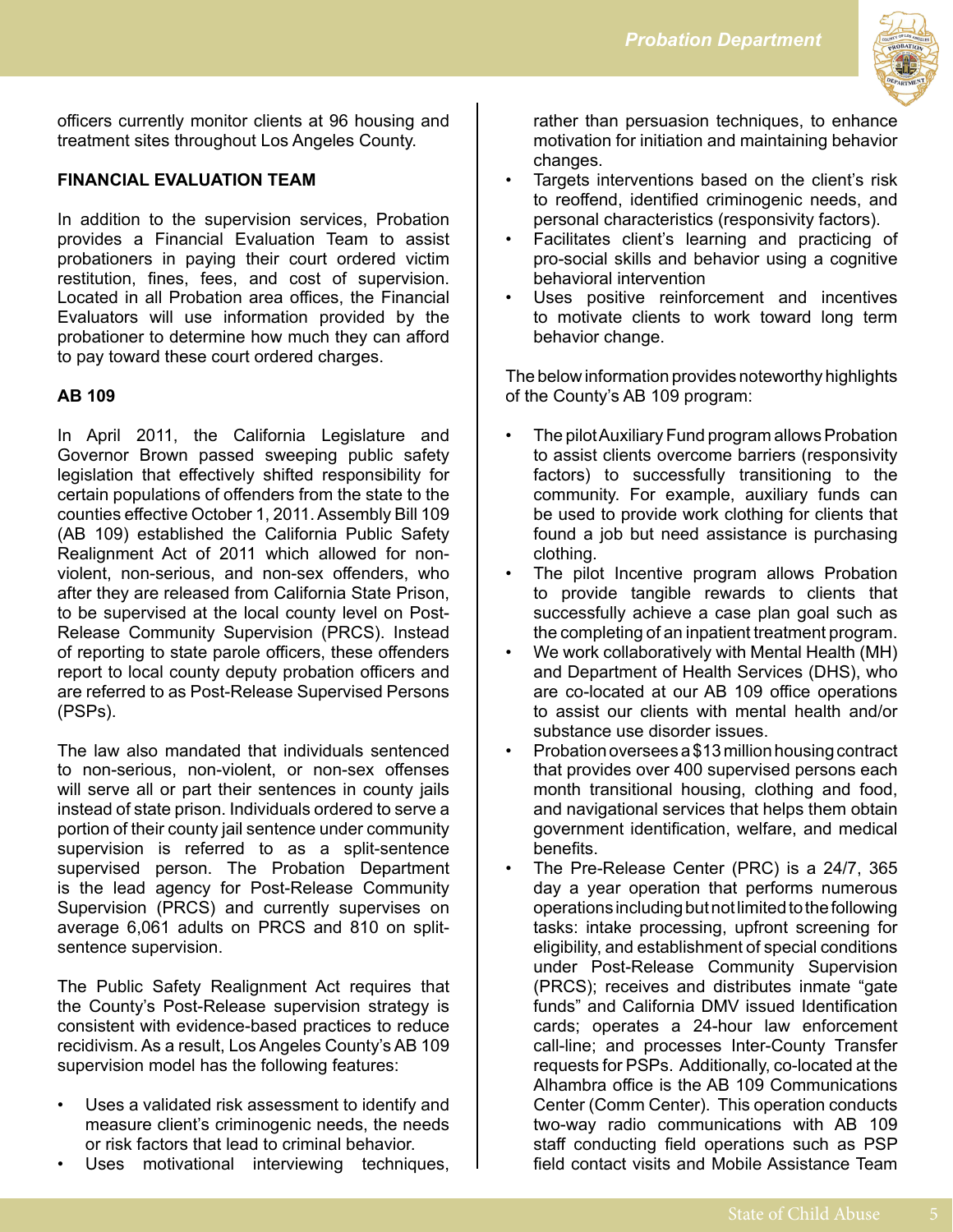

officers currently monitor clients at 96 housing and treatment sites throughout Los Angeles County.

## **FINANCIAL EVALUATION TEAM**

In addition to the supervision services, Probation provides a Financial Evaluation Team to assist probationers in paying their court ordered victim restitution, fines, fees, and cost of supervision. Located in all Probation area offices, the Financial Evaluators will use information provided by the probationer to determine how much they can afford to pay toward these court ordered charges.

## **AB 109**

In April 2011, the California Legislature and Governor Brown passed sweeping public safety legislation that effectively shifted responsibility for certain populations of offenders from the state to the counties effective October 1, 2011. Assembly Bill 109 (AB 109) established the California Public Safety Realignment Act of 2011 which allowed for nonviolent, non-serious, and non-sex offenders, who after they are released from California State Prison, to be supervised at the local county level on Post-Release Community Supervision (PRCS). Instead of reporting to state parole officers, these offenders report to local county deputy probation officers and are referred to as Post-Release Supervised Persons (PSPs).

The law also mandated that individuals sentenced to non-serious, non-violent, or non-sex offenses will serve all or part their sentences in county jails instead of state prison. Individuals ordered to serve a portion of their county jail sentence under community supervision is referred to as a split-sentence supervised person. The Probation Department is the lead agency for Post-Release Community Supervision (PRCS) and currently supervises on average 6,061 adults on PRCS and 810 on splitsentence supervision.

The Public Safety Realignment Act requires that the County's Post-Release supervision strategy is consistent with evidence-based practices to reduce recidivism. As a result, Los Angeles County's AB 109 supervision model has the following features:

- Uses a validated risk assessment to identify and measure client's criminogenic needs, the needs or risk factors that lead to criminal behavior.
- Uses motivational interviewing techniques,

rather than persuasion techniques, to enhance motivation for initiation and maintaining behavior changes.

- Targets interventions based on the client's risk to reoffend, identified criminogenic needs, and personal characteristics (responsivity factors).
- Facilitates client's learning and practicing of pro-social skills and behavior using a cognitive behavioral intervention
- Uses positive reinforcement and incentives to motivate clients to work toward long term behavior change.

The below information provides noteworthy highlights of the County's AB 109 program:

- The pilot Auxiliary Fund program allows Probation to assist clients overcome barriers (responsivity factors) to successfully transitioning to the community. For example, auxiliary funds can be used to provide work clothing for clients that found a job but need assistance is purchasing clothing.
- The pilot Incentive program allows Probation to provide tangible rewards to clients that successfully achieve a case plan goal such as the completing of an inpatient treatment program.
- We work collaboratively with Mental Health (MH) and Department of Health Services (DHS), who are co-located at our AB 109 office operations to assist our clients with mental health and/or substance use disorder issues.
- Probation oversees a \$13 million housing contract that provides over 400 supervised persons each month transitional housing, clothing and food, and navigational services that helps them obtain government identification, welfare, and medical benefits.
- The Pre-Release Center (PRC) is a 24/7, 365 day a year operation that performs numerous operations including but not limited to the following tasks: intake processing, upfront screening for eligibility, and establishment of special conditions under Post-Release Community Supervision (PRCS); receives and distributes inmate "gate funds" and California DMV issued Identification cards; operates a 24-hour law enforcement call-line; and processes Inter-County Transfer requests for PSPs. Additionally, co-located at the Alhambra office is the AB 109 Communications Center (Comm Center). This operation conducts two-way radio communications with AB 109 staff conducting field operations such as PSP field contact visits and Mobile Assistance Team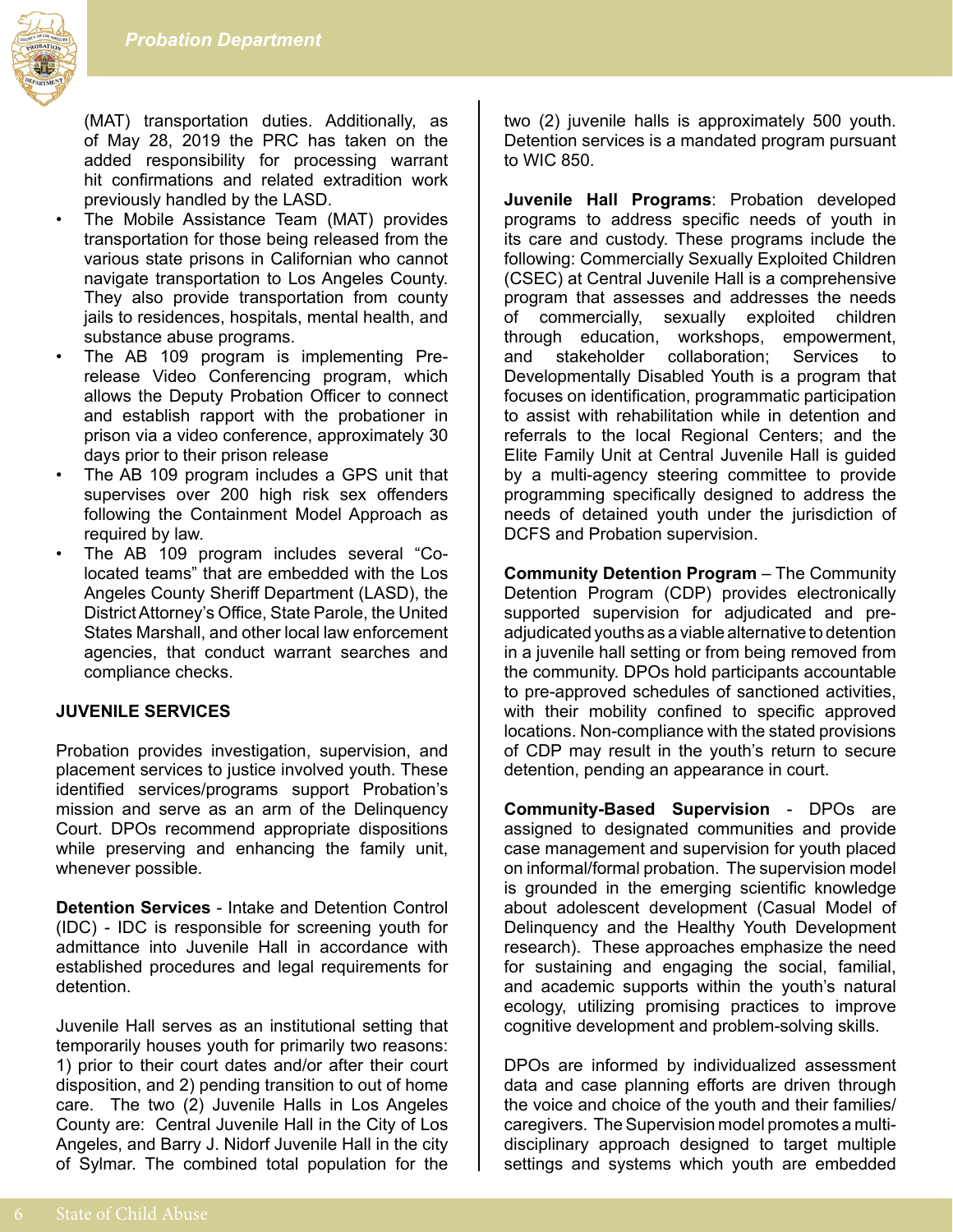

(MAT) transportation duties. Additionally, as of May 28, 2019 the PRC has taken on the added responsibility for processing warrant hit confirmations and related extradition work previously handled by the LASD.

- The Mobile Assistance Team (MAT) provides transportation for those being released from the various state prisons in Californian who cannot navigate transportation to Los Angeles County. They also provide transportation from county jails to residences, hospitals, mental health, and substance abuse programs.
- The AB 109 program is implementing Prerelease Video Conferencing program, which allows the Deputy Probation Officer to connect and establish rapport with the probationer in prison via a video conference, approximately 30 days prior to their prison release
- The AB 109 program includes a GPS unit that supervises over 200 high risk sex offenders following the Containment Model Approach as required by law.
- The AB 109 program includes several "Colocated teams" that are embedded with the Los Angeles County Sheriff Department (LASD), the District Attorney's Office, State Parole, the United States Marshall, and other local law enforcement agencies, that conduct warrant searches and compliance checks.

#### **JUVENILE SERVICES**

Probation provides investigation, supervision, and placement services to justice involved youth. These identified services/programs support Probation's mission and serve as an arm of the Delinquency Court. DPOs recommend appropriate dispositions while preserving and enhancing the family unit, whenever possible.

**Detention Services** - Intake and Detention Control (IDC) - IDC is responsible for screening youth for admittance into Juvenile Hall in accordance with established procedures and legal requirements for detention.

Juvenile Hall serves as an institutional setting that temporarily houses youth for primarily two reasons: 1) prior to their court dates and/or after their court disposition, and 2) pending transition to out of home care. The two (2) Juvenile Halls in Los Angeles County are: Central Juvenile Hall in the City of Los Angeles, and Barry J. Nidorf Juvenile Hall in the city of Sylmar. The combined total population for the two (2) juvenile halls is approximately 500 youth. Detention services is a mandated program pursuant to WIC 850.

**Juvenile Hall Programs**: Probation developed programs to address specific needs of youth in its care and custody. These programs include the following: Commercially Sexually Exploited Children (CSEC) at Central Juvenile Hall is a comprehensive program that assesses and addresses the needs of commercially, sexually exploited children through education, workshops, empowerment, and stakeholder collaboration; Services to Developmentally Disabled Youth is a program that focuses on identification, programmatic participation to assist with rehabilitation while in detention and referrals to the local Regional Centers; and the Elite Family Unit at Central Juvenile Hall is guided by a multi-agency steering committee to provide programming specifically designed to address the needs of detained youth under the jurisdiction of DCFS and Probation supervision.

**Community Detention Program** – The Community Detention Program (CDP) provides electronically supported supervision for adjudicated and preadjudicated youths as a viable alternative to detention in a juvenile hall setting or from being removed from the community. DPOs hold participants accountable to pre-approved schedules of sanctioned activities, with their mobility confined to specific approved locations. Non-compliance with the stated provisions of CDP may result in the youth's return to secure detention, pending an appearance in court.

**Community-Based Supervision** - DPOs are assigned to designated communities and provide case management and supervision for youth placed on informal/formal probation. The supervision model is grounded in the emerging scientific knowledge about adolescent development (Casual Model of Delinquency and the Healthy Youth Development research). These approaches emphasize the need for sustaining and engaging the social, familial, and academic supports within the youth's natural ecology, utilizing promising practices to improve cognitive development and problem-solving skills.

DPOs are informed by individualized assessment data and case planning efforts are driven through the voice and choice of the youth and their families/ caregivers. The Supervision model promotes a multidisciplinary approach designed to target multiple settings and systems which youth are embedded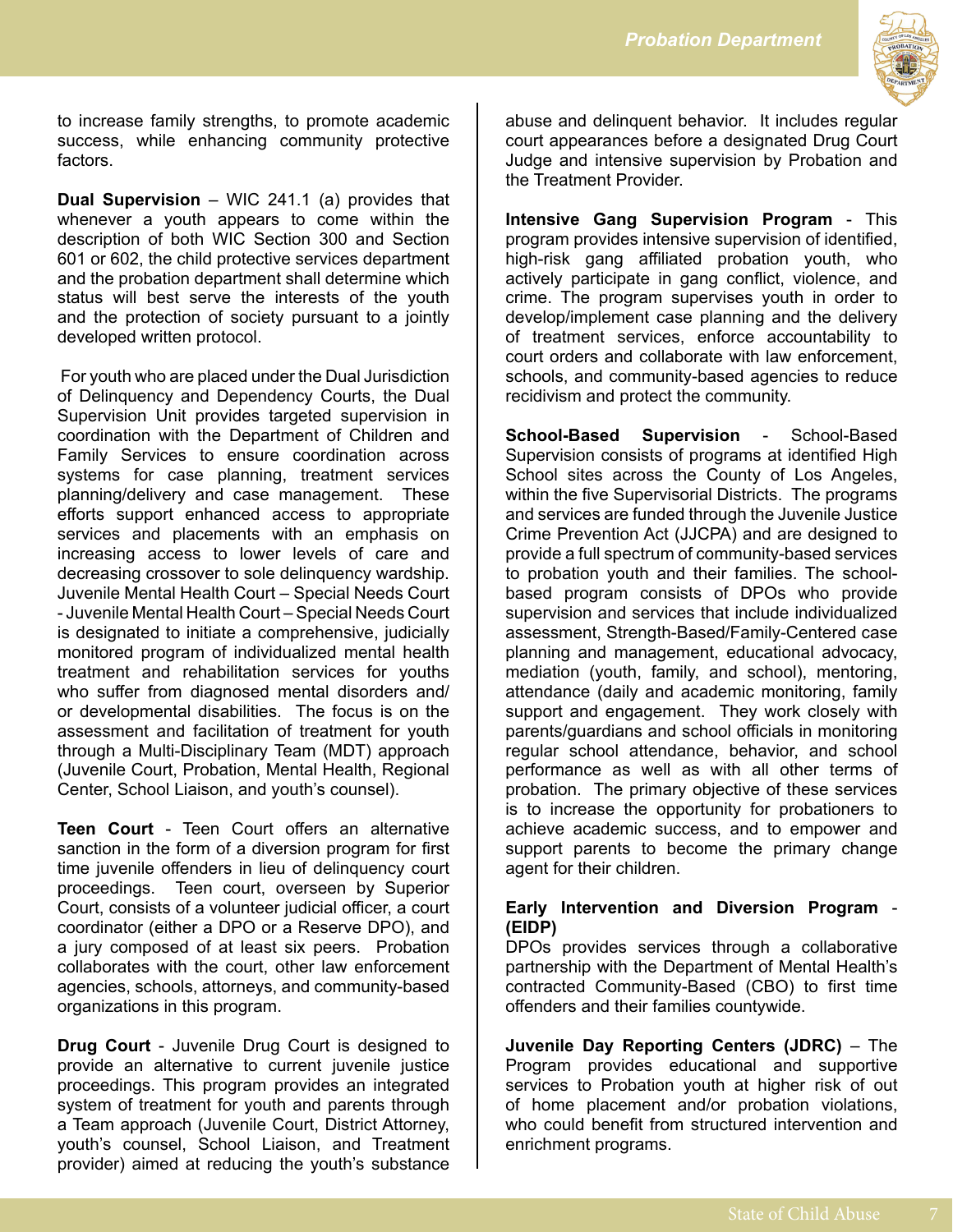

to increase family strengths, to promote academic success, while enhancing community protective factors.

**Dual Supervision** – WIC 241.1 (a) provides that whenever a youth appears to come within the description of both WIC Section 300 and Section 601 or 602, the child protective services department and the probation department shall determine which status will best serve the interests of the youth and the protection of society pursuant to a jointly developed written protocol.

 For youth who are placed under the Dual Jurisdiction of Delinquency and Dependency Courts, the Dual Supervision Unit provides targeted supervision in coordination with the Department of Children and Family Services to ensure coordination across systems for case planning, treatment services planning/delivery and case management. These efforts support enhanced access to appropriate services and placements with an emphasis on increasing access to lower levels of care and decreasing crossover to sole delinquency wardship. Juvenile Mental Health Court – Special Needs Court - Juvenile Mental Health Court – Special Needs Court is designated to initiate a comprehensive, judicially monitored program of individualized mental health treatment and rehabilitation services for youths who suffer from diagnosed mental disorders and/ or developmental disabilities. The focus is on the assessment and facilitation of treatment for youth through a Multi-Disciplinary Team (MDT) approach (Juvenile Court, Probation, Mental Health, Regional Center, School Liaison, and youth's counsel).

**Teen Court** - Teen Court offers an alternative sanction in the form of a diversion program for first time juvenile offenders in lieu of delinquency court proceedings. Teen court, overseen by Superior Court, consists of a volunteer judicial officer, a court coordinator (either a DPO or a Reserve DPO), and a jury composed of at least six peers. Probation collaborates with the court, other law enforcement agencies, schools, attorneys, and community-based organizations in this program.

**Drug Court** - Juvenile Drug Court is designed to provide an alternative to current juvenile justice proceedings. This program provides an integrated system of treatment for youth and parents through a Team approach (Juvenile Court, District Attorney, youth's counsel, School Liaison, and Treatment provider) aimed at reducing the youth's substance abuse and delinquent behavior. It includes regular court appearances before a designated Drug Court Judge and intensive supervision by Probation and the Treatment Provider.

**Intensive Gang Supervision Program** - This program provides intensive supervision of identified, high-risk gang affiliated probation youth, who actively participate in gang conflict, violence, and crime. The program supervises youth in order to develop/implement case planning and the delivery of treatment services, enforce accountability to court orders and collaborate with law enforcement, schools, and community-based agencies to reduce recidivism and protect the community.

**School-Based Supervision** - School-Based Supervision consists of programs at identified High School sites across the County of Los Angeles, within the five Supervisorial Districts. The programs and services are funded through the Juvenile Justice Crime Prevention Act (JJCPA) and are designed to provide a full spectrum of community-based services to probation youth and their families. The schoolbased program consists of DPOs who provide supervision and services that include individualized assessment, Strength-Based/Family-Centered case planning and management, educational advocacy, mediation (youth, family, and school), mentoring, attendance (daily and academic monitoring, family support and engagement. They work closely with parents/guardians and school officials in monitoring regular school attendance, behavior, and school performance as well as with all other terms of probation. The primary objective of these services is to increase the opportunity for probationers to achieve academic success, and to empower and support parents to become the primary change agent for their children.

#### **Early Intervention and Diversion Program** - **(EIDP)**

DPOs provides services through a collaborative partnership with the Department of Mental Health's contracted Community-Based (CBO) to first time offenders and their families countywide.

**Juvenile Day Reporting Centers (JDRC)** – The Program provides educational and supportive services to Probation youth at higher risk of out of home placement and/or probation violations, who could benefit from structured intervention and enrichment programs.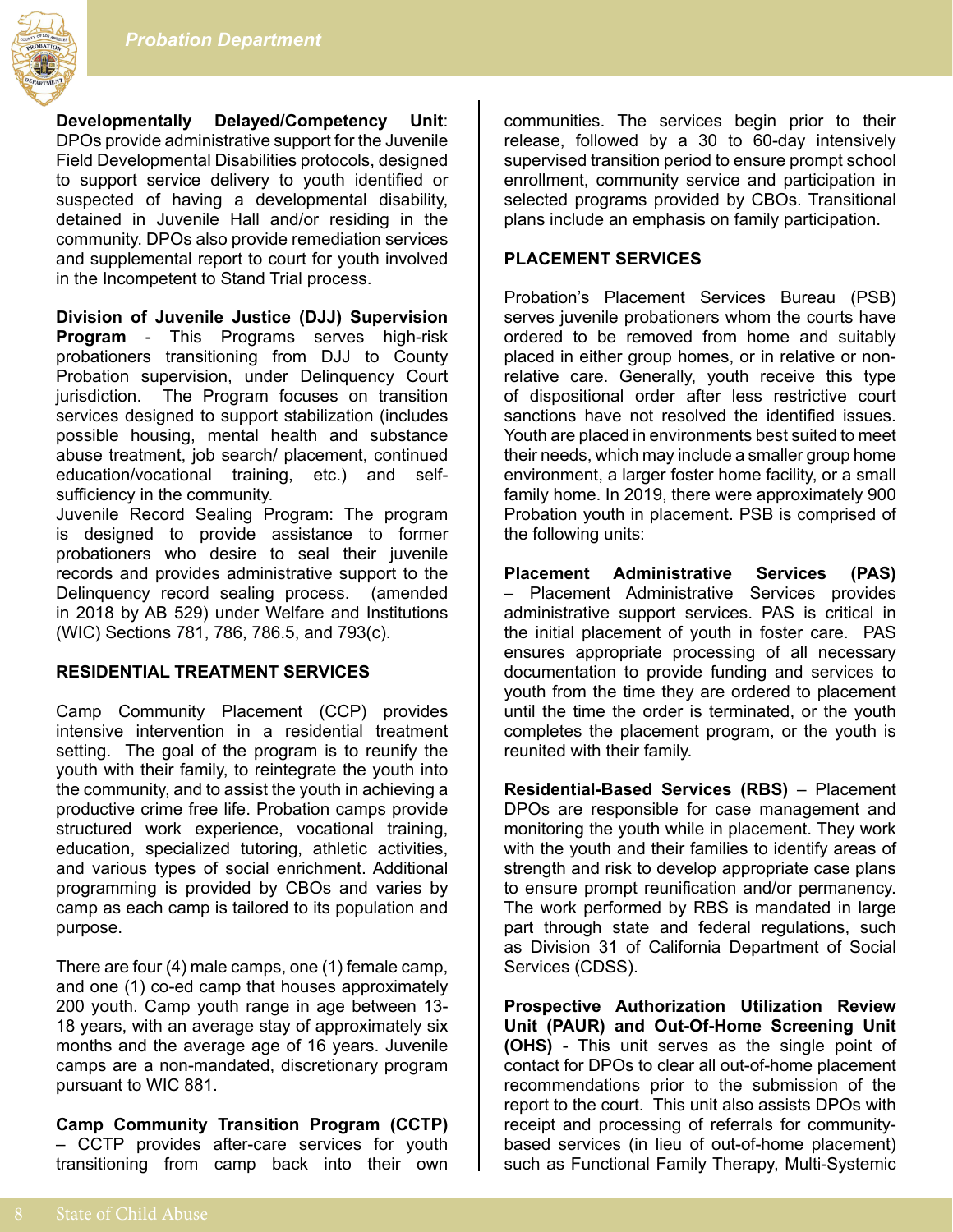

**Developmentally Delayed/Competency Unit**: DPOs provide administrative support for the Juvenile Field Developmental Disabilities protocols, designed to support service delivery to youth identified or suspected of having a developmental disability, detained in Juvenile Hall and/or residing in the community. DPOs also provide remediation services and supplemental report to court for youth involved in the Incompetent to Stand Trial process.

**Division of Juvenile Justice (DJJ) Supervision Program** - This Programs serves high-risk probationers transitioning from DJJ to County Probation supervision, under Delinquency Court jurisdiction. The Program focuses on transition services designed to support stabilization (includes possible housing, mental health and substance abuse treatment, job search/ placement, continued education/vocational training, etc.) and selfsufficiency in the community.

Juvenile Record Sealing Program: The program is designed to provide assistance to former probationers who desire to seal their juvenile records and provides administrative support to the Delinquency record sealing process. (amended in 2018 by AB 529) under Welfare and Institutions (WIC) Sections 781, 786, 786.5, and 793(c).

#### **RESIDENTIAL TREATMENT SERVICES**

Camp Community Placement (CCP) provides intensive intervention in a residential treatment setting. The goal of the program is to reunify the youth with their family, to reintegrate the youth into the community, and to assist the youth in achieving a productive crime free life. Probation camps provide structured work experience, vocational training, education, specialized tutoring, athletic activities, and various types of social enrichment. Additional programming is provided by CBOs and varies by camp as each camp is tailored to its population and purpose.

There are four (4) male camps, one (1) female camp, and one (1) co-ed camp that houses approximately 200 youth. Camp youth range in age between 13- 18 years, with an average stay of approximately six months and the average age of 16 years. Juvenile camps are a non-mandated, discretionary program pursuant to WIC 881.

**Camp Community Transition Program (CCTP)**  – CCTP provides after-care services for youth transitioning from camp back into their own

communities. The services begin prior to their release, followed by a 30 to 60-day intensively supervised transition period to ensure prompt school enrollment, community service and participation in selected programs provided by CBOs. Transitional plans include an emphasis on family participation.

#### **PLACEMENT SERVICES**

Probation's Placement Services Bureau (PSB) serves juvenile probationers whom the courts have ordered to be removed from home and suitably placed in either group homes, or in relative or nonrelative care. Generally, youth receive this type of dispositional order after less restrictive court sanctions have not resolved the identified issues. Youth are placed in environments best suited to meet their needs, which may include a smaller group home environment, a larger foster home facility, or a small family home. In 2019, there were approximately 900 Probation youth in placement. PSB is comprised of the following units:

**Placement Administrative Services (PAS)** – Placement Administrative Services provides administrative support services. PAS is critical in the initial placement of youth in foster care. PAS ensures appropriate processing of all necessary documentation to provide funding and services to youth from the time they are ordered to placement until the time the order is terminated, or the youth completes the placement program, or the youth is reunited with their family.

**Residential-Based Services (RBS)** – Placement DPOs are responsible for case management and monitoring the youth while in placement. They work with the youth and their families to identify areas of strength and risk to develop appropriate case plans to ensure prompt reunification and/or permanency. The work performed by RBS is mandated in large part through state and federal regulations, such as Division 31 of California Department of Social Services (CDSS).

**Prospective Authorization Utilization Review Unit (PAUR) and Out-Of-Home Screening Unit (OHS)** - This unit serves as the single point of contact for DPOs to clear all out-of-home placement recommendations prior to the submission of the report to the court. This unit also assists DPOs with receipt and processing of referrals for communitybased services (in lieu of out-of-home placement) such as Functional Family Therapy, Multi-Systemic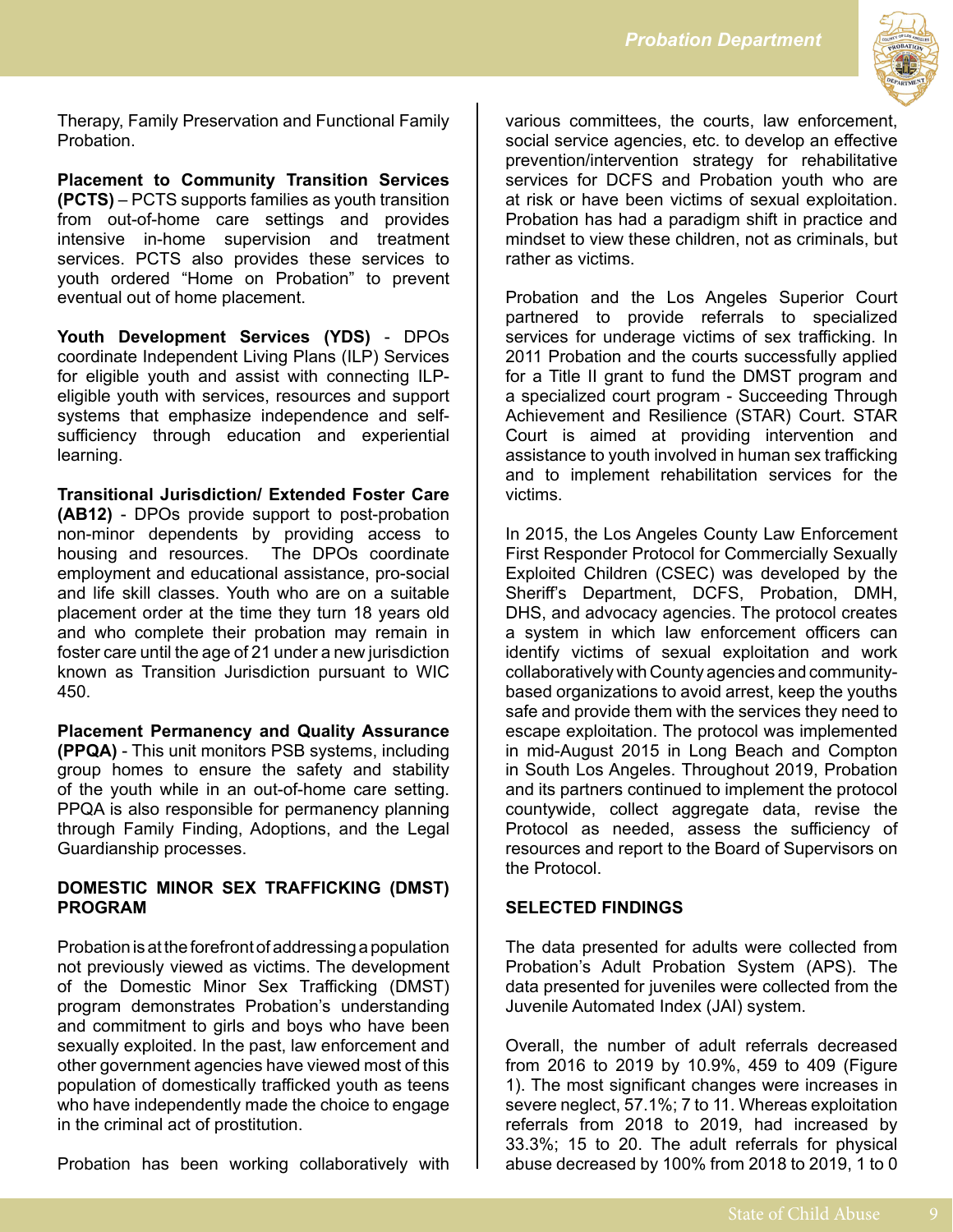

Therapy, Family Preservation and Functional Family Probation.

**Placement to Community Transition Services (PCTS)** – PCTS supports families as youth transition from out-of-home care settings and provides intensive in-home supervision and treatment services. PCTS also provides these services to youth ordered "Home on Probation" to prevent eventual out of home placement.

**Youth Development Services (YDS)** - DPOs coordinate Independent Living Plans (ILP) Services for eligible youth and assist with connecting ILPeligible youth with services, resources and support systems that emphasize independence and selfsufficiency through education and experiential learning.

**Transitional Jurisdiction/ Extended Foster Care (AB12)** - DPOs provide support to post-probation non-minor dependents by providing access to housing and resources. The DPOs coordinate employment and educational assistance, pro-social and life skill classes. Youth who are on a suitable placement order at the time they turn 18 years old and who complete their probation may remain in foster care until the age of 21 under a new jurisdiction known as Transition Jurisdiction pursuant to WIC 450.

**Placement Permanency and Quality Assurance (PPQA)** - This unit monitors PSB systems, including group homes to ensure the safety and stability of the youth while in an out-of-home care setting. PPQA is also responsible for permanency planning through Family Finding, Adoptions, and the Legal Guardianship processes.

#### **DOMESTIC MINOR SEX TRAFFICKING (DMST) PROGRAM**

Probation is at the forefront of addressing a population not previously viewed as victims. The development of the Domestic Minor Sex Trafficking (DMST) program demonstrates Probation's understanding and commitment to girls and boys who have been sexually exploited. In the past, law enforcement and other government agencies have viewed most of this population of domestically trafficked youth as teens who have independently made the choice to engage in the criminal act of prostitution.

Probation has been working collaboratively with

various committees, the courts, law enforcement, social service agencies, etc. to develop an effective prevention/intervention strategy for rehabilitative services for DCFS and Probation youth who are at risk or have been victims of sexual exploitation. Probation has had a paradigm shift in practice and mindset to view these children, not as criminals, but rather as victims.

Probation and the Los Angeles Superior Court partnered to provide referrals to specialized services for underage victims of sex trafficking. In 2011 Probation and the courts successfully applied for a Title II grant to fund the DMST program and a specialized court program - Succeeding Through Achievement and Resilience (STAR) Court. STAR Court is aimed at providing intervention and assistance to youth involved in human sex trafficking and to implement rehabilitation services for the victims.

In 2015, the Los Angeles County Law Enforcement First Responder Protocol for Commercially Sexually Exploited Children (CSEC) was developed by the Sheriff's Department, DCFS, Probation, DMH, DHS, and advocacy agencies. The protocol creates a system in which law enforcement officers can identify victims of sexual exploitation and work collaboratively with County agencies and communitybased organizations to avoid arrest, keep the youths safe and provide them with the services they need to escape exploitation. The protocol was implemented in mid-August 2015 in Long Beach and Compton in South Los Angeles. Throughout 2019, Probation and its partners continued to implement the protocol countywide, collect aggregate data, revise the Protocol as needed, assess the sufficiency of resources and report to the Board of Supervisors on the Protocol.

#### **SELECTED FINDINGS**

The data presented for adults were collected from Probation's Adult Probation System (APS). The data presented for juveniles were collected from the Juvenile Automated Index (JAI) system.

Overall, the number of adult referrals decreased from 2016 to 2019 by 10.9%, 459 to 409 (Figure 1). The most significant changes were increases in severe neglect, 57.1%; 7 to 11. Whereas exploitation referrals from 2018 to 2019, had increased by 33.3%; 15 to 20. The adult referrals for physical abuse decreased by 100% from 2018 to 2019, 1 to 0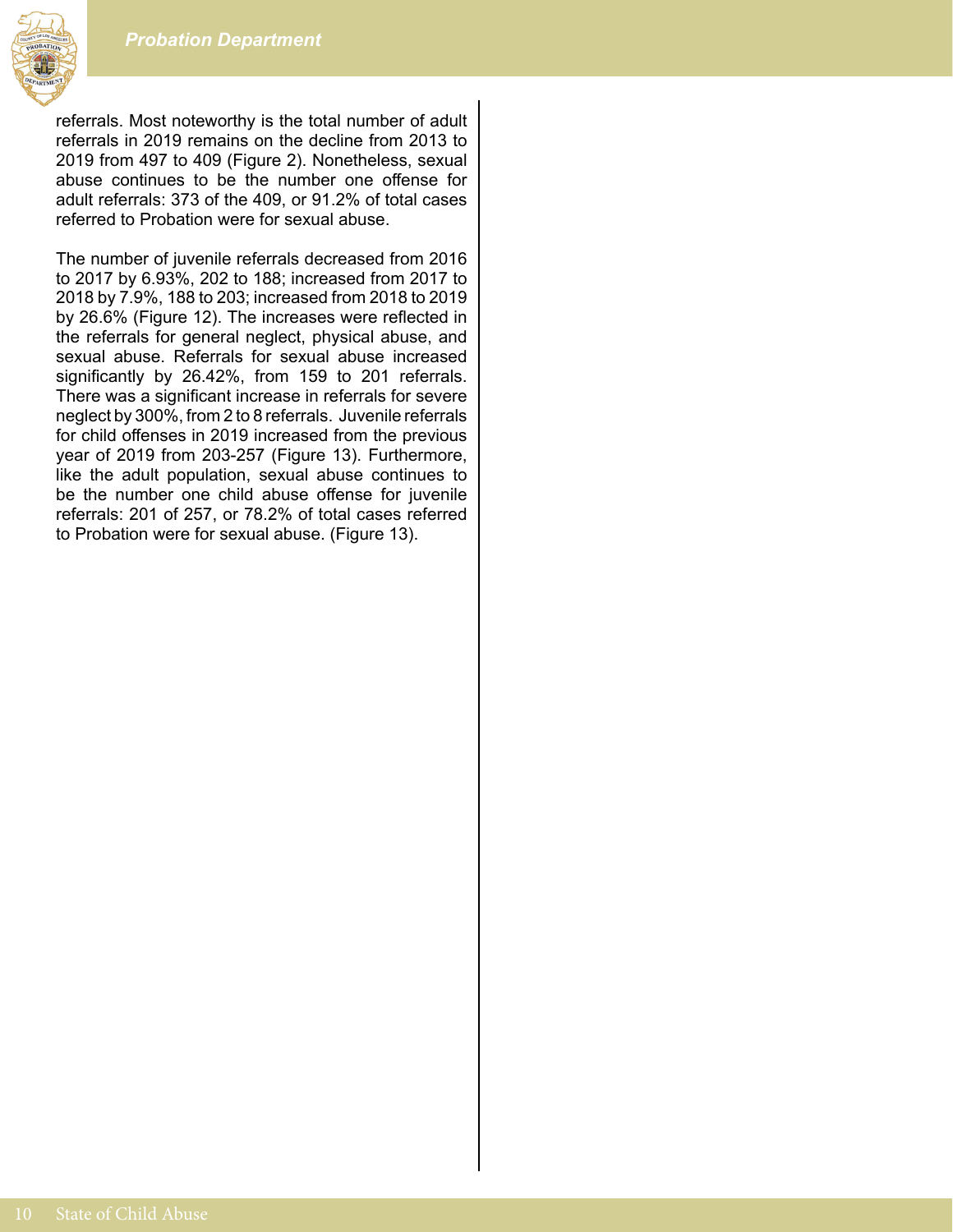

referrals. Most noteworthy is the total number of adult referrals in 2019 remains on the decline from 2013 to 2019 from 497 to 409 (Figure 2). Nonetheless, sexual abuse continues to be the number one offense for adult referrals: 373 of the 409, or 91.2% of total cases referred to Probation were for sexual abuse.

The number of juvenile referrals decreased from 2016 to 2017 by 6.93%, 202 to 188; increased from 2017 to 2018 by 7.9%, 188 to 203; increased from 2018 to 2019 by 26.6% (Figure 12). The increases were reflected in the referrals for general neglect, physical abuse, and sexual abuse. Referrals for sexual abuse increased significantly by 26.42%, from 159 to 201 referrals. There was a significant increase in referrals for severe neglect by 300%, from 2 to 8 referrals. Juvenile referrals for child offenses in 2019 increased from the previous year of 2019 from 203-257 (Figure 13). Furthermore, like the adult population, sexual abuse continues to be the number one child abuse offense for juvenile referrals: 201 of 257, or 78.2% of total cases referred to Probation were for sexual abuse. (Figure 13).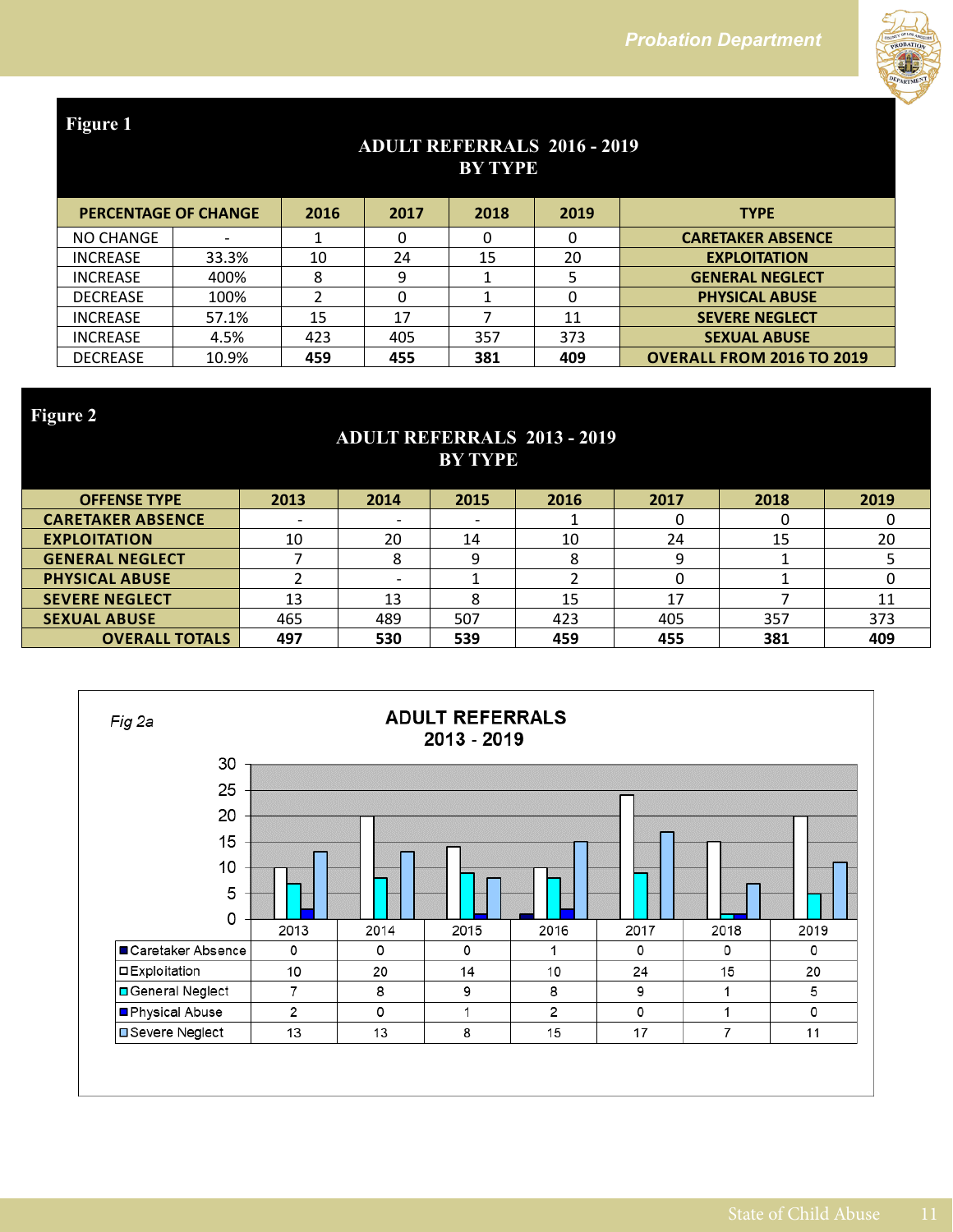

## **ADULT REFERRALS 2016 - 2019 BY TYPE**

|                 | <b>PERCENTAGE OF CHANGE</b> |     | 2017 | 2018 | 2019 | <b>TYPE</b>                      |
|-----------------|-----------------------------|-----|------|------|------|----------------------------------|
| NO CHANGE       |                             |     | O    |      | 0    | <b>CARETAKER ABSENCE</b>         |
| <b>INCREASE</b> | 33.3%                       | 10  | 24   | 15   | 20   | <b>EXPLOITATION</b>              |
| <b>INCREASE</b> | 400%                        |     | 9    |      |      | <b>GENERAL NEGLECT</b>           |
| <b>DECREASE</b> | 100%                        |     |      |      | 0    | <b>PHYSICAL ABUSE</b>            |
| <b>INCREASE</b> | 57.1%                       | 15  | 17   |      | 11   | <b>SEVERE NEGLECT</b>            |
| <b>INCREASE</b> | 4.5%                        | 423 | 405  | 357  | 373  | <b>SEXUAL ABUSE</b>              |
| <b>DECREASE</b> | 10.9%                       | 459 | 455  | 381  | 409  | <b>OVERALL FROM 2016 TO 2019</b> |

**Figure 2**

## **ADULT REFERRALS 2013 - 2019 BY TYPE**

| <b>OFFENSE TYPE</b>      | 2013 | 2014                     | 2015                     | 2016 | 2017 | 2018 | 2019 |  |
|--------------------------|------|--------------------------|--------------------------|------|------|------|------|--|
| <b>CARETAKER ABSENCE</b> |      |                          | $\overline{\phantom{0}}$ |      | υ    |      |      |  |
| <b>EXPLOITATION</b>      | 10   | 20                       | 14                       | 10   | 24   | 15   | 20   |  |
| <b>GENERAL NEGLECT</b>   |      | 8                        |                          | Ο    | 9    |      |      |  |
| <b>PHYSICAL ABUSE</b>    |      | $\overline{\phantom{0}}$ |                          |      | 0    |      |      |  |
| <b>SEVERE NEGLECT</b>    | 13   | 13                       |                          | 15   | 17   |      |      |  |
| <b>SEXUAL ABUSE</b>      | 465  | 489                      | 507                      | 423  | 405  | 357  | 373  |  |
| <b>OVERALL TOTALS</b>    | 497  | 530                      | 539                      | 459  | 455  | 381  | 409  |  |
|                          |      |                          |                          |      |      |      |      |  |

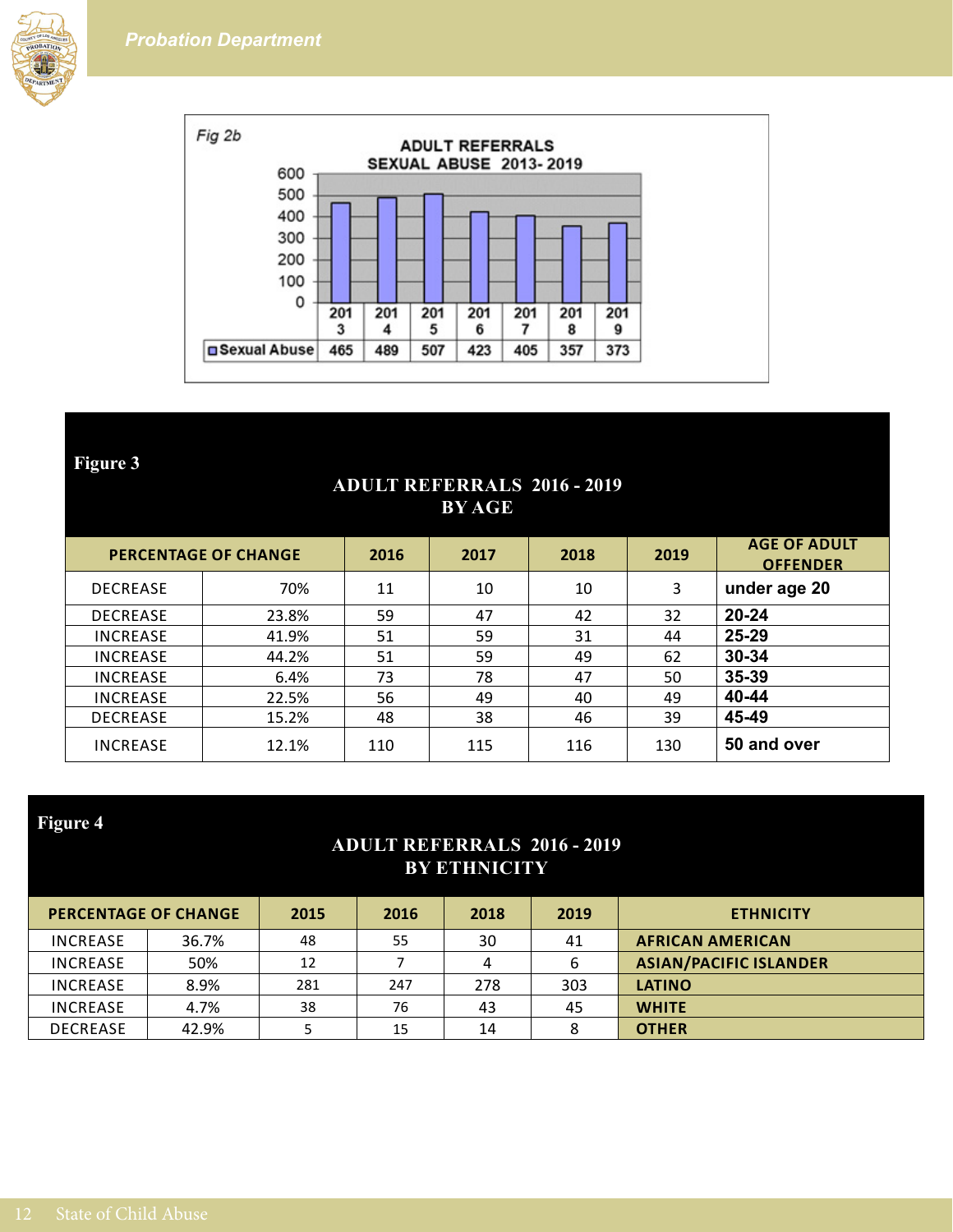



#### **ADULT REFERRALS 2016 - 2019 BY AGE**

|                 | <b>PERCENTAGE OF CHANGE</b> |     | 2017 | 2018 | 2019 | <b>AGE OF ADULT</b><br><b>OFFENDER</b> |
|-----------------|-----------------------------|-----|------|------|------|----------------------------------------|
| <b>DECREASE</b> | 70%                         | 11  | 10   | 10   | 3    | under age 20                           |
| <b>DECREASE</b> | 23.8%                       | 59  | 47   | 42   | 32   | $20 - 24$                              |
| <b>INCREASE</b> | 41.9%                       | 51  | 59   | 31   | 44   | 25-29                                  |
| <b>INCREASE</b> | 44.2%                       | 51  | 59   | 49   | 62   | 30-34                                  |
| <b>INCREASE</b> | 6.4%                        | 73  | 78   | 47   | 50   | 35-39                                  |
| <b>INCREASE</b> | 22.5%                       | 56  | 49   | 40   | 49   | 40-44                                  |
| <b>DECREASE</b> | 15.2%                       | 48  | 38   | 46   | 39   | 45-49                                  |
| <b>INCREASE</b> | 12.1%                       | 110 | 115  | 116  | 130  | 50 and over                            |

## **Figure 4**

#### **ADULT REFERRALS 2016 - 2019 BY ETHNICITY**

| <b>ETHNICITY</b>              | 2019 | 2018 | 2016 | 2015 | <b>PERCENTAGE OF CHANGE</b> |                 |
|-------------------------------|------|------|------|------|-----------------------------|-----------------|
| <b>AFRICAN AMERICAN</b>       | 41   | 30   | 55   | 48   | 36.7%                       | <b>INCREASE</b> |
| <b>ASIAN/PACIFIC ISLANDER</b> | 6    | 4    |      | 12   | 50%                         | <b>INCREASE</b> |
| LATINO                        | 303  | 278  | 247  | 281  | 8.9%                        | <b>INCREASE</b> |
| <b>WHITE</b>                  | 45   | 43   | 76   | 38   | 4.7%                        | <b>INCREASE</b> |
| <b>OTHER</b>                  | 8    | 14   | 15   |      | 42.9%                       | <b>DECREASE</b> |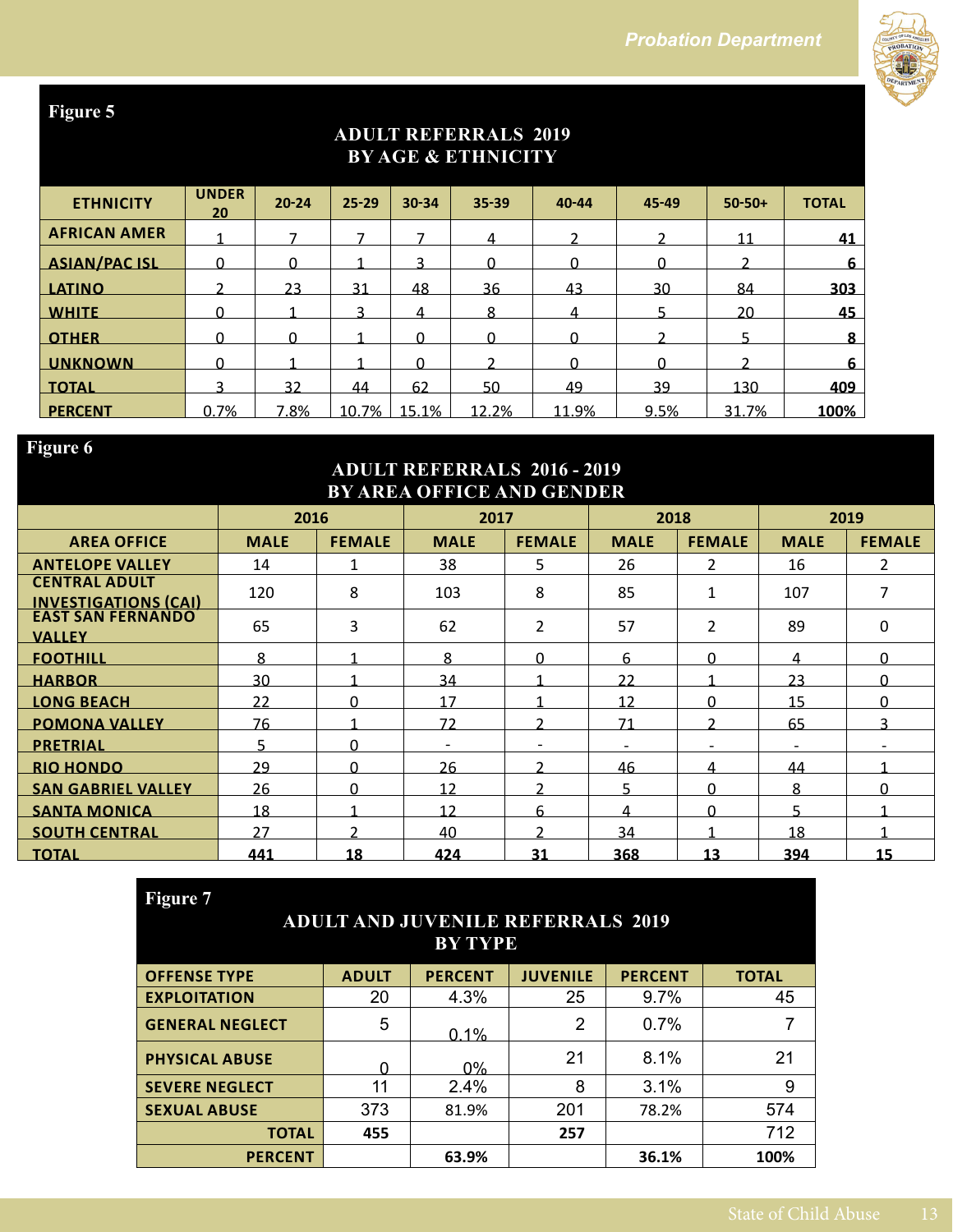

## **ADULT REFERRALS 2019 BY AGE & ETHNICITY**

| <b>ETHNICITY</b>     | <b>UNDER</b><br>20 | $20 - 24$ | $25 - 29$ | $30 - 34$ | $35 - 39$ | $40 - 44$ | 45-49 | $50 - 50 +$ | <b>TOTAL</b> |
|----------------------|--------------------|-----------|-----------|-----------|-----------|-----------|-------|-------------|--------------|
| <b>AFRICAN AMER</b>  |                    |           |           |           |           |           |       |             | 41           |
| <b>ASIAN/PAC ISL</b> |                    |           |           |           |           |           |       |             | 6            |
| <b>LATINO</b>        |                    | 23        | 31        | 48        | 36        | 43        | 30    | 84          | 303          |
| <b>WHITE</b>         |                    |           |           | 4         | 8         | 4         |       | 20          | 45           |
| <b>OTHER</b>         |                    |           |           | n         |           |           |       |             | 8            |
| <b>UNKNOWN</b>       |                    |           |           |           |           |           |       |             | 6            |
| <b>TOTAL</b>         |                    | 32        | 44        | 62        | 50        | 49        | 39    | 130         | 409          |
| <b>PERCENT</b>       | 0.7%               | 7.8%      | 10.7%     | 15.1%     | 12.2%     | 11.9%     | 9.5%  | 31.7%       | 100%         |

## **Figure 6**

#### **ADULT REFERRALS 2016 - 2019 BY AREA OFFICE AND GENDER**

|                                                     | 2016        |               | 2017        |               | 2018                     |                          |                          | 2019          |
|-----------------------------------------------------|-------------|---------------|-------------|---------------|--------------------------|--------------------------|--------------------------|---------------|
| <b>AREA OFFICE</b>                                  | <b>MALE</b> | <b>FEMALE</b> | <b>MALE</b> | <b>FEMALE</b> | <b>MALE</b>              | <b>FEMALE</b>            | <b>MALE</b>              | <b>FEMALE</b> |
| <b>ANTELOPE VALLEY</b>                              | 14          | $\mathbf{1}$  | 38          | 5             | 26                       | $\mathfrak{p}$           | 16                       | $\mathcal{P}$ |
| <b>CENTRAL ADULT</b><br><u>INVESTIGATIONS (CAI)</u> | 120         | 8             | 103         | 8             | 85                       | $\mathbf{1}$             | 107                      | 7             |
| <b>EAST SAN FERNANDO</b><br><b>VALLEY</b>           | 65          | 3             | 62          | 2             | 57                       | 2                        | 89                       | 0             |
| <b>FOOTHILL</b>                                     | 8           |               | 8           | <sup>n</sup>  | 6                        | U                        | 4                        | ∩             |
| <b>HARBOR</b>                                       | 30          |               | 34          |               | 22                       |                          | 23                       | ∩             |
| <b>LONG BEACH</b>                                   | 22          | <sup>0</sup>  | 17          | ◢             | 12                       | U                        | 15                       | <sup>n</sup>  |
| <b>POMONA VALLEY</b>                                | 76          |               | 72          | C             | 71                       | C                        | 65                       |               |
| <b>PRETRIAL</b>                                     | ц           | ŋ             |             |               | $\overline{\phantom{0}}$ | $\overline{\phantom{0}}$ | $\overline{\phantom{a}}$ |               |
| <b>RIO HONDO</b>                                    | 29          | $\Omega$      | 26          | C             | 46                       | 4                        | 44                       |               |
| <b>SAN GABRIEL VALLEY</b>                           | 26          | $\Omega$      | 12          | C.            | д                        | <sup>n</sup>             | 8                        | ∩             |
| <b>SANTA MONICA</b>                                 | 18          |               | 12          | 6             | Δ                        | U                        | Б                        |               |
| <b>SOUTH CENTRAL</b>                                | 27          |               | 40          | C             | 34                       |                          | 18                       |               |
| <b>TOTAL</b>                                        | 441         | 18            | 424         | 31            | 368                      | 13                       | 394                      | 15            |

| Figure 7                                 |                        |                |                 |                |              |  |  |  |  |  |
|------------------------------------------|------------------------|----------------|-----------------|----------------|--------------|--|--|--|--|--|
| <b>ADULT AND JUVENILE REFERRALS 2019</b> |                        |                |                 |                |              |  |  |  |  |  |
|                                          | <b>BY TYPE</b>         |                |                 |                |              |  |  |  |  |  |
| <b>OFFENSE TYPE</b>                      | <b>ADULT</b>           | <b>PERCENT</b> | <b>JUVENILE</b> | <b>PERCENT</b> | <b>TOTAL</b> |  |  |  |  |  |
| <b>EXPLOITATION</b>                      | 20                     | 4.3%           | 25              | 9.7%           | 45           |  |  |  |  |  |
| <b>GENERAL NEGLECT</b>                   | 5                      | 0.1%           | 2               | 0.7%           |              |  |  |  |  |  |
| <b>PHYSICAL ABUSE</b>                    |                        | $0\%$          | 21              | 8.1%           | 21           |  |  |  |  |  |
| <b>SEVERE NEGLECT</b>                    | 11                     | 2.4%           | 8               | 3.1%           | 9            |  |  |  |  |  |
| <b>SEXUAL ABUSE</b>                      | 373                    | 81.9%          | 201             | 78.2%          | 574          |  |  |  |  |  |
| 712<br>455<br>257<br><b>TOTAL</b>        |                        |                |                 |                |              |  |  |  |  |  |
| <b>PERCENT</b>                           | 36.1%<br>100%<br>63.9% |                |                 |                |              |  |  |  |  |  |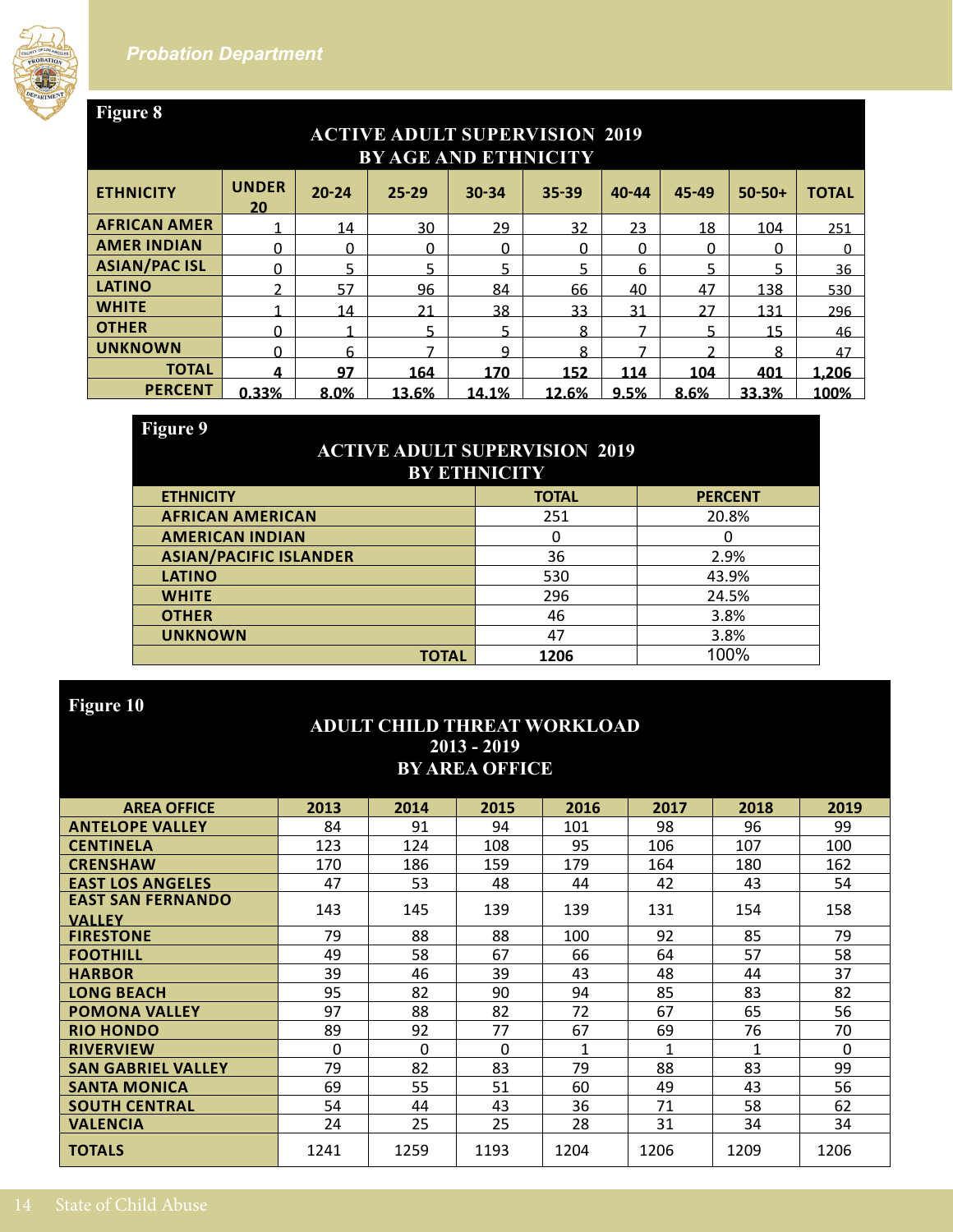

#### **ACTIVE ADULT SUPERVISION 2019 BY AGE AND ETHNICITY ETHNICITY UNDER 20 20-24 25-29 30-34 35-39 40-44 45-49 50-50+ TOTAL AFRICAN AMER** 1 14 30 29 32 23 18 104 251 **AMER INDIAN** 0 0 0 0 0 0 0 0 0 **ASIAN/PAC ISL** 0 5 5 5 5 5 5 5 36<br>**LATINO** 2 57 96 84 66 40 47 138 530 **LATINO** 2 57 96 84 66 40 47 138 530 **WHITE** 1 14 21 38 33 31 27 131 296 **OTHER** 0 1 5 5 8 7 5 15 46 <mark>UNKNOWN</mark> 0 6 7 9 8 7 2 8 47 **TOTAL 4 97 164 170 152 114 104 401 1,206**

## **ACTIVE ADULT SUPERVISION 2019 BY ETHNICITY**

**PERCENT 0.33% 8.0% 13.6% 14.1% 12.6% 9.5% 8.6% 33.3% 100%**

| <b>ETHNICITY</b>              | <b>TOTAL</b> | <b>PERCENT</b> |
|-------------------------------|--------------|----------------|
| <b>AFRICAN AMERICAN</b>       | 251          | 20.8%          |
| <b>AMERICAN INDIAN</b>        |              | 0              |
| <b>ASIAN/PACIFIC ISLANDER</b> | 36           | 2.9%           |
| <b>LATINO</b>                 | 530          | 43.9%          |
| <b>WHITE</b>                  | 296          | 24.5%          |
| <b>OTHER</b>                  | 46           | 3.8%           |
| <b>UNKNOWN</b>                | 47           | 3.8%           |
| <b>TOTAL</b>                  | 1206         | 100%           |

## **Figure 10**

#### **ADULT CHILD THREAT WORKLOAD 2013 - 2019 BY AREA OFFICE**

| <b>AREA OFFICE</b>                        | 2013 | 2014 | 2015     | 2016 | 2017 | 2018 | 2019     |
|-------------------------------------------|------|------|----------|------|------|------|----------|
| <b>ANTELOPE VALLEY</b>                    | 84   | 91   | 94       | 101  | 98   | 96   | 99       |
| <b>CENTINELA</b>                          | 123  | 124  | 108      | 95   | 106  | 107  | 100      |
| <b>CRENSHAW</b>                           | 170  | 186  | 159      | 179  | 164  | 180  | 162      |
| <b>EAST LOS ANGELES</b>                   | 47   | 53   | 48       | 44   | 42   | 43   | 54       |
| <b>EAST SAN FERNANDO</b><br><b>VALLEY</b> | 143  | 145  | 139      | 139  | 131  | 154  | 158      |
| <b>FIRESTONE</b>                          | 79   | 88   | 88       | 100  | 92   | 85   | 79       |
| <b>FOOTHILL</b>                           | 49   | 58   | 67       | 66   | 64   | 57   | 58       |
| <b>HARBOR</b>                             | 39   | 46   | 39       | 43   | 48   | 44   | 37       |
| <b>LONG BEACH</b>                         | 95   | 82   | 90       | 94   | 85   | 83   | 82       |
| <b>POMONA VALLEY</b>                      | 97   | 88   | 82       | 72   | 67   | 65   | 56       |
| <b>RIO HONDO</b>                          | 89   | 92   | 77       | 67   | 69   | 76   | 70       |
| <b>RIVERVIEW</b>                          | 0    | 0    | $\Omega$ | 1    | 1    | 1    | $\Omega$ |
| <b>SAN GABRIEL VALLEY</b>                 | 79   | 82   | 83       | 79   | 88   | 83   | 99       |
| <b>SANTA MONICA</b>                       | 69   | 55   | 51       | 60   | 49   | 43   | 56       |
| <b>SOUTH CENTRAL</b>                      | 54   | 44   | 43       | 36   | 71   | 58   | 62       |
| <b>VALENCIA</b>                           | 24   | 25   | 25       | 28   | 31   | 34   | 34       |
| <b>TOTALS</b>                             | 1241 | 1259 | 1193     | 1204 | 1206 | 1209 | 1206     |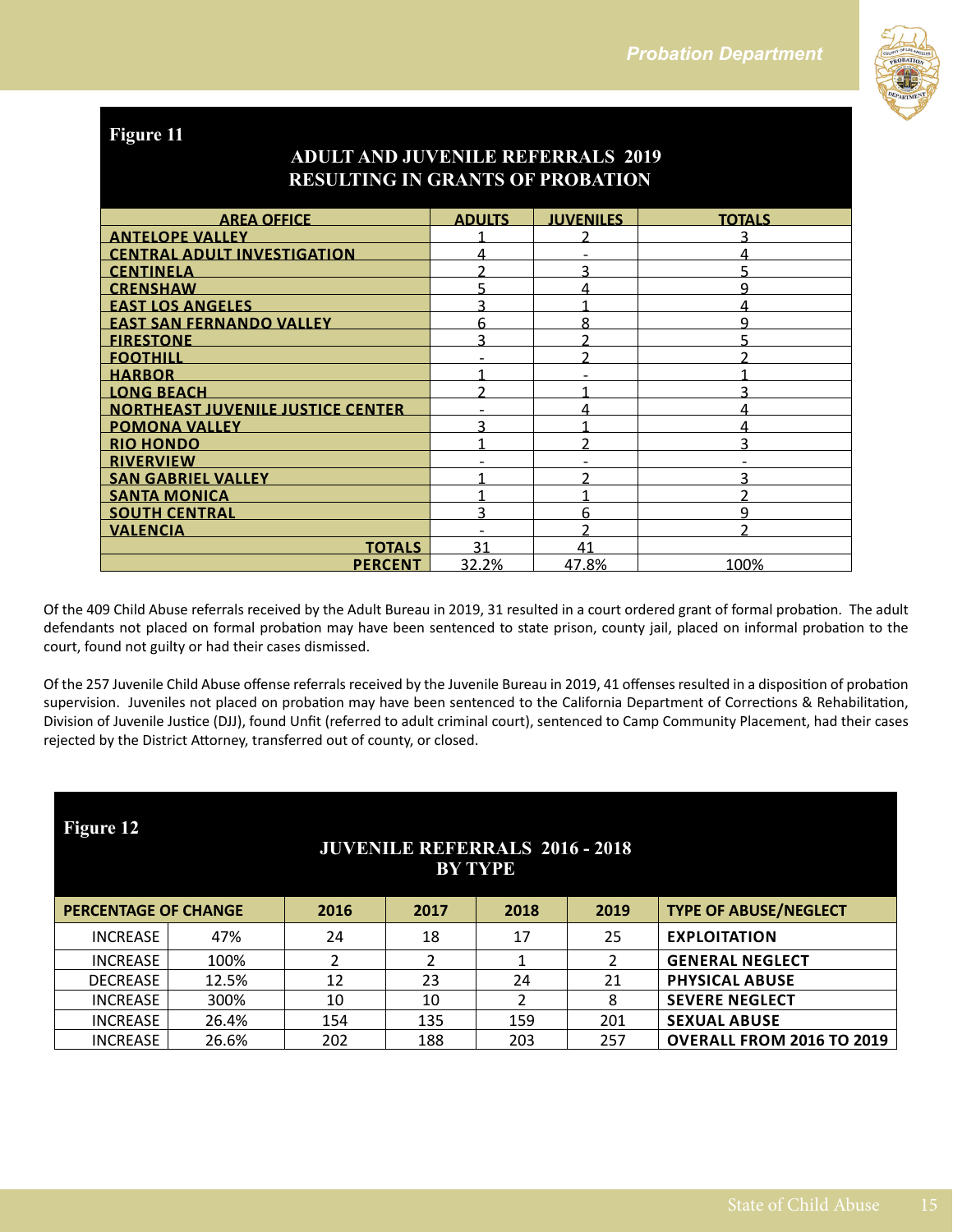

## **ADULT AND JUVENILE REFERRALS 2019 RESULTING IN GRANTS OF PROBATION**

| <b>AREA OFFICE</b>                       | <b>ADULTS</b> | <b>JUVENILES</b> | <b>TOTALS</b> |
|------------------------------------------|---------------|------------------|---------------|
| <b>ANTELOPE VALLEY</b>                   |               |                  | <u>ว</u>      |
| <b>CENTRAL ADULT INVESTIGATION</b>       |               |                  |               |
| <b>CENTINELA</b>                         |               | っ                |               |
| <b>CRENSHAW</b>                          |               | Δ                | q             |
| <b>EAST LOS ANGELES</b>                  |               |                  |               |
| <b>EAST SAN FERNANDO VALLEY</b>          |               | ጸ                | q             |
| <b>FIRESTONE</b>                         |               |                  |               |
| <b>FOOTHILL</b>                          |               |                  |               |
| <b>HARBOR</b>                            |               |                  |               |
| <b>LONG BEACH</b>                        |               |                  |               |
| <b>NORTHEAST JUVENILE JUSTICE CENTER</b> |               |                  |               |
| <b>POMONA VALLEY</b>                     |               |                  |               |
| <b>RIO HONDO</b>                         |               |                  | ς             |
| <b>RIVERVIEW</b>                         |               |                  |               |
| <b>SAN GABRIEL VALLEY</b>                |               |                  | ว             |
| <b>SANTA MONICA</b>                      |               |                  |               |
| <b>SOUTH CENTRAL</b>                     |               | 6                | a             |
| <b>VALENCIA</b>                          |               |                  |               |
| <b>TOTALS</b>                            | 31            | 41               |               |
| <b>PERCENT</b>                           | 32.2%         | 47.8%            | 100%          |

Of the 409 Child Abuse referrals received by the Adult Bureau in 2019, 31 resulted in a court ordered grant of formal probation. The adult defendants not placed on formal probation may have been sentenced to state prison, county jail, placed on informal probation to the court, found not guilty or had their cases dismissed.

Of the 257 Juvenile Child Abuse offense referrals received by the Juvenile Bureau in 2019, 41 offenses resulted in a disposition of probation supervision. Juveniles not placed on probation may have been sentenced to the California Department of Corrections & Rehabilitation, Division of Juvenile Justice (DJJ), found Unfit (referred to adult criminal court), sentenced to Camp Community Placement, had their cases rejected by the District Attorney, transferred out of county, or closed.

| Figure 12<br><b>JUVENILE REFERRALS 2016 - 2018</b><br><b>BY TYPE</b> |       |      |      |      |      |                                  |  |  |
|----------------------------------------------------------------------|-------|------|------|------|------|----------------------------------|--|--|
| <b>PERCENTAGE OF CHANGE</b>                                          |       | 2016 | 2017 | 2018 | 2019 | <b>TYPE OF ABUSE/NEGLECT</b>     |  |  |
| <b>INCREASE</b>                                                      | 47%   | 24   | 18   | 17   | 25   | <b>EXPLOITATION</b>              |  |  |
| <b>INCREASE</b>                                                      | 100%  |      | ∍    |      |      | <b>GENERAL NEGLECT</b>           |  |  |
| <b>DECREASE</b>                                                      | 12.5% | 12   | 23   | 24   | 21   | <b>PHYSICAL ABUSE</b>            |  |  |
| <b>INCREASE</b>                                                      | 300%  | 10   | 10   |      | 8    | <b>SEVERE NEGLECT</b>            |  |  |
| <b>INCREASE</b>                                                      | 26.4% | 154  | 135  | 159  | 201  | <b>SEXUAL ABUSE</b>              |  |  |
| <b>INCREASE</b>                                                      | 26.6% | 202  | 188  | 203  | 257  | <b>OVERALL FROM 2016 TO 2019</b> |  |  |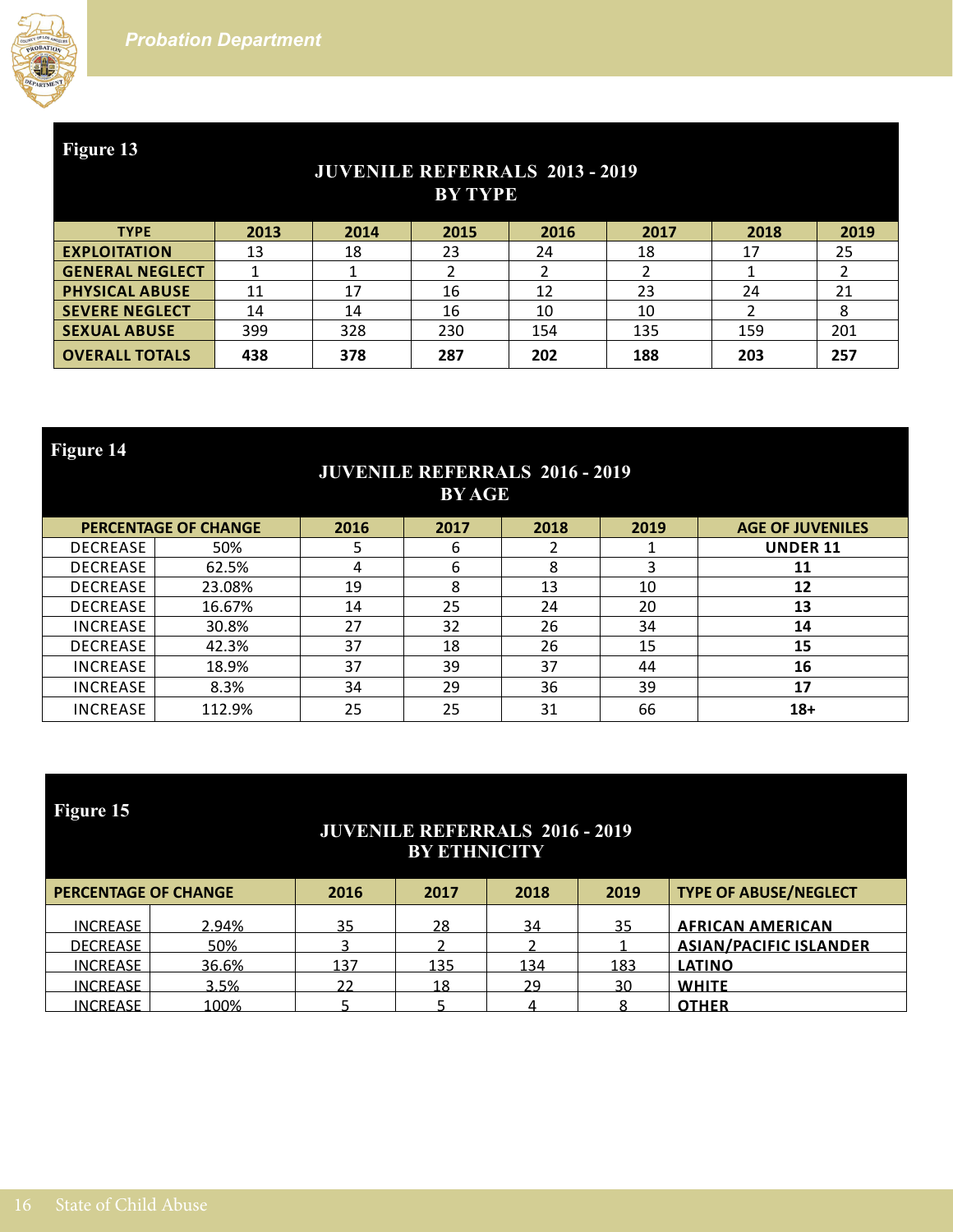

## **JUVENILE REFERRALS 2013 - 2019 BY TYPE**

| <b>TYPE</b>            | 2013 | 2014 | 2015 | 2016 | 2017 | 2018 | 2019 |
|------------------------|------|------|------|------|------|------|------|
| <b>EXPLOITATION</b>    | 13   | 18   | 23   | 24   | 18   | 17   | 25   |
| <b>GENERAL NEGLECT</b> |      |      |      |      |      |      |      |
| <b>PHYSICAL ABUSE</b>  |      | 17   | 16   | 12   | 23   | 24   | 21   |
| <b>SEVERE NEGLECT</b>  | 14   | 14   | 16   | 10   | 10   |      | 8    |
| <b>SEXUAL ABUSE</b>    | 399  | 328  | 230  | 154  | 135  | 159  | 201  |
| <b>OVERALL TOTALS</b>  | 438  | 378  | 287  | 202  | 188  | 203  | 257  |

**Figure 14 JUVENILE REFERRALS 2016 - 2019 BY AGE PERCENTAGE OF CHANGE 2016 2017 2018 2019 AGE OF JUVENILES** DECREASE 50% 5 6 2 1 **UNDER 11** DECREASE 62.5% 4 6 8 3 **11** DECREASE 23.08% 19 8 13 10 **12** DECREASE 16.67% 14 25 24 20 **13** INCREASE 30.8% 27 32 26 34 **14** DECREASE 42.3% 37 18 26 15 **15** INCREASE 18.9% 37 39 37 44 **16** INCREASE 8.3% 34 29 36 39 **17** INCREASE 112.9% 25 25 31 66 **18+**

| <b>Figure 15</b><br><b>JUVENILE REFERRALS 2016 - 2019</b><br><b>BY ETHNICITY</b> |       |      |      |      |      |                               |  |  |  |
|----------------------------------------------------------------------------------|-------|------|------|------|------|-------------------------------|--|--|--|
| <b>PERCENTAGE OF CHANGE</b>                                                      |       | 2016 | 2017 | 2018 | 2019 | <b>TYPE OF ABUSE/NEGLECT</b>  |  |  |  |
| <b>INCREASE</b>                                                                  | 2.94% | 35   | 28   | 34   | 35   | <b>AFRICAN AMERICAN</b>       |  |  |  |
| <b>DECREASE</b>                                                                  | 50%   |      |      |      |      | <b>ASIAN/PACIFIC ISLANDER</b> |  |  |  |
| <b>INCREASE</b>                                                                  | 36.6% | 137  | 135  | 134  | 183  | <b>LATINO</b>                 |  |  |  |
| <b>INCREASE</b>                                                                  | 3.5%  | 22   | 18   | 29   | 30   | <b>WHITE</b>                  |  |  |  |
| <b>INCREASE</b>                                                                  | 100%  |      |      |      |      | <b>OTHER</b>                  |  |  |  |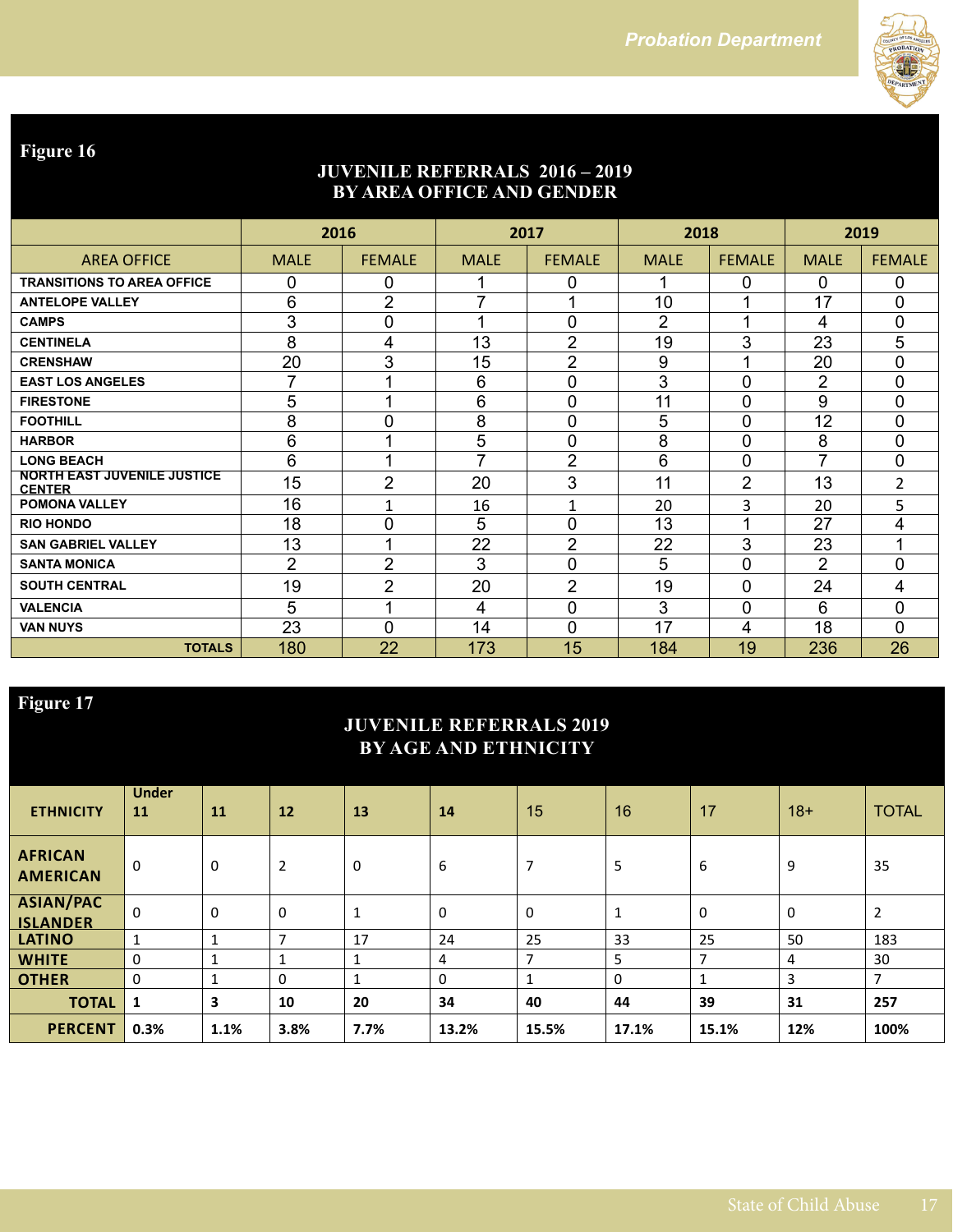

## **JUVENILE REFERRALS 2016 – 2019 BY AREA OFFICE AND GENDER**

|                                                     | 2016           |                         | 2017                    |                | 2018           |                | 2019           |                |
|-----------------------------------------------------|----------------|-------------------------|-------------------------|----------------|----------------|----------------|----------------|----------------|
| <b>AREA OFFICE</b>                                  | <b>MALE</b>    | <b>FEMALE</b>           | <b>MALE</b>             | <b>FEMALE</b>  | <b>MALE</b>    | <b>FEMALE</b>  | <b>MALE</b>    | <b>FEMALE</b>  |
| <b>TRANSITIONS TO AREA OFFICE</b>                   | 0              | 0                       |                         | 0              | 1              | 0              | $\Omega$       | 0              |
| <b>ANTELOPE VALLEY</b>                              | 6              | $\overline{2}$          | 7                       |                | 10             |                | 17             | 0              |
| <b>CAMPS</b>                                        | 3              | 0                       | $\overline{\mathbf{A}}$ | 0              | $\overline{2}$ | 4              | 4              | 0              |
| <b>CENTINELA</b>                                    | 8              | 4                       | 13                      | $\overline{2}$ | 19             | 3              | 23             | 5              |
| <b>CRENSHAW</b>                                     | 20             | 3                       | 15                      | $\overline{2}$ | 9              |                | 20             | 0              |
| <b>EAST LOS ANGELES</b>                             | 7              |                         | 6                       | 0              | 3              | 0              | $\overline{2}$ | 0              |
| <b>FIRESTONE</b>                                    | 5              | $\overline{A}$          | 6                       | 0              | 11             | $\overline{0}$ | 9              | 0              |
| <b>FOOTHILL</b>                                     | 8              | 0                       | 8                       | 0              | 5              | $\overline{0}$ | 12             | 0              |
| <b>HARBOR</b>                                       | 6              | $\overline{\mathbf{A}}$ | 5                       | 0              | 8              | $\overline{0}$ | 8              | $\overline{0}$ |
| <b>LONG BEACH</b>                                   | 6              | 4                       | $\overline{ }$          | $\overline{2}$ | 6              | 0              | 7              | 0              |
| <b>NORTH EAST JUVENILE JUSTICE</b><br><b>CENTER</b> | 15             | $\overline{2}$          | 20                      | 3              | 11             | $\overline{2}$ | 13             | $\overline{2}$ |
| <b>POMONA VALLEY</b>                                | 16             | $\mathbf{1}$            | 16                      | 1              | 20             | 3              | 20             | 5              |
| <b>RIO HONDO</b>                                    | 18             | 0                       | 5                       | 0              | 13             | ۸              | 27             | 4              |
| <b>SAN GABRIEL VALLEY</b>                           | 13             | 4                       | 22                      | $\overline{2}$ | 22             | 3              | 23             | 1              |
| <b>SANTA MONICA</b>                                 | $\overline{2}$ | $\overline{2}$          | 3                       | 0              | 5              | $\overline{0}$ | $\overline{2}$ | 0              |
| <b>SOUTH CENTRAL</b>                                | 19             | $\overline{2}$          | 20                      | $\overline{2}$ | 19             | 0              | 24             | 4              |
| <b>VALENCIA</b>                                     | 5              | 4                       | 4                       | 0              | 3              | 0              | 6              | 0              |
| <b>VAN NUYS</b>                                     | 23             | $\overline{0}$          | 14                      | 0              | 17             | 4              | 18             | 0              |
| <b>TOTALS</b>                                       | 180            | 22                      | 173                     | 15             | 184            | 19             | 236            | 26             |

## **Figure 17**

## **JUVENILE REFERRALS 2019 BY AGE AND ETHNICITY**

| <b>ETHNICITY</b>                    | <b>Under</b><br>11 | 11   | 12           | 13   | 14    | 15             | 16    | 17    | $18+$ | <b>TOTAL</b>             |
|-------------------------------------|--------------------|------|--------------|------|-------|----------------|-------|-------|-------|--------------------------|
| <b>AFRICAN</b><br><b>AMERICAN</b>   | 0                  | 0    | 2            | 0    | 6     | $\overline{7}$ | 5     | 6     | 9     | 35                       |
| <b>ASIAN/PAC</b><br><b>ISLANDER</b> | $\Omega$           | 0    | 0            | 1    | 0     | 0              | 1     | 0     | 0     | $\overline{2}$           |
| <b>LATINO</b>                       | 1                  |      |              | 17   | 24    | 25             | 33    | 25    | 50    | 183                      |
| <b>WHITE</b>                        | $\Omega$           |      |              |      | 4     | ⇁              | 5     | ⇁     | 4     | 30                       |
| <b>OTHER</b>                        | $\Omega$           |      | $\mathbf{0}$ |      | 0     |                | 0     |       | 3     | $\overline{\phantom{a}}$ |
| <b>TOTAL</b>                        | 1                  | 3    | 10           | 20   | 34    | 40             | 44    | 39    | 31    | 257                      |
| <b>PERCENT</b>                      | 0.3%               | 1.1% | 3.8%         | 7.7% | 13.2% | 15.5%          | 17.1% | 15.1% | 12%   | 100%                     |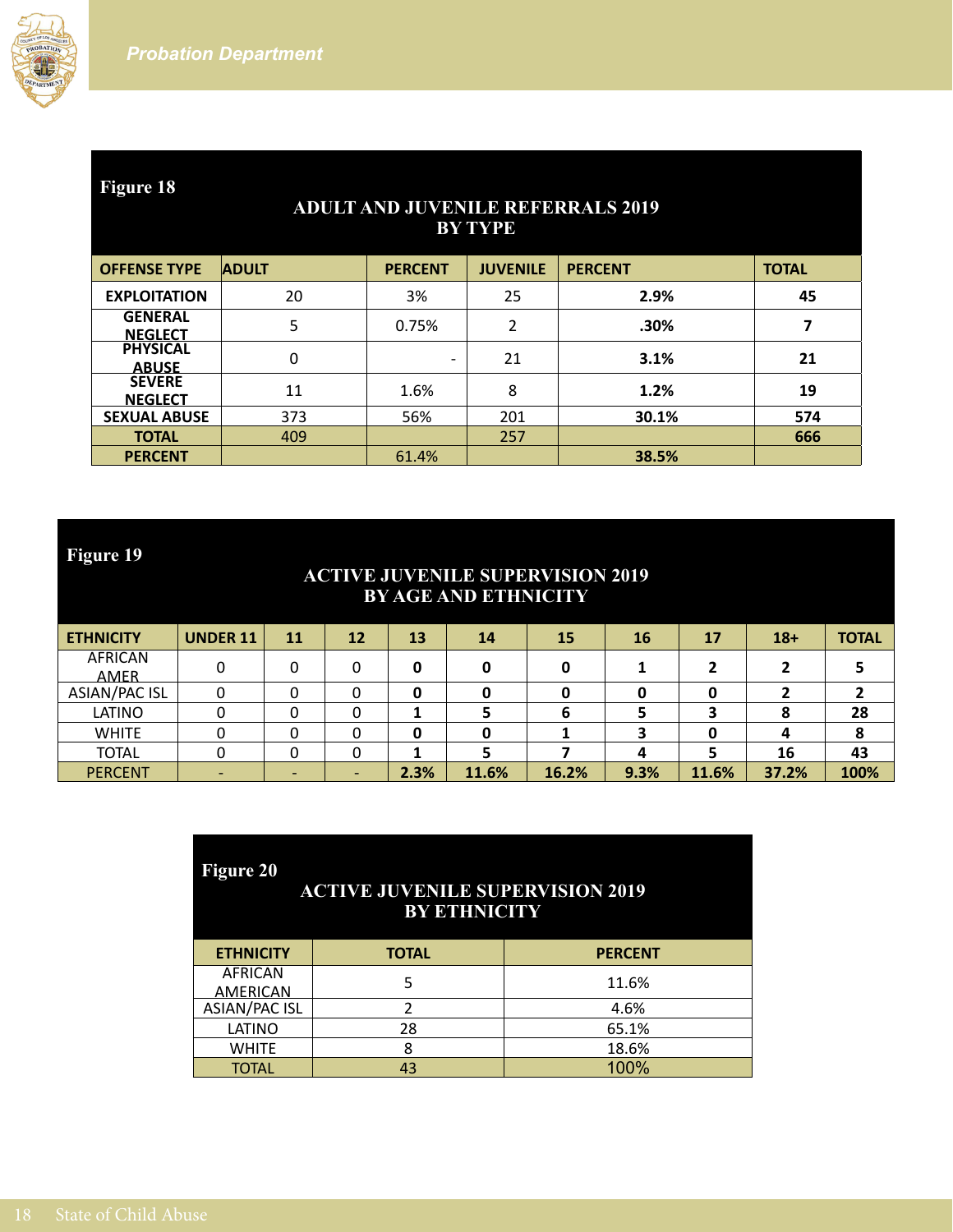

| <b>Figure 18</b><br><b>ADULT AND JUVENILE REFERRALS 2019</b><br><b>BY TYPE</b> |              |                |                 |                |              |  |  |  |  |
|--------------------------------------------------------------------------------|--------------|----------------|-----------------|----------------|--------------|--|--|--|--|
| <b>OFFENSE TYPE</b>                                                            | <b>ADULT</b> | <b>PERCENT</b> | <b>JUVENILE</b> | <b>PERCENT</b> | <b>TOTAL</b> |  |  |  |  |
| <b>EXPLOITATION</b>                                                            | 20           | 3%             | 25              | 2.9%           | 45           |  |  |  |  |
| <b>GENERAL</b><br><b>NEGLECT</b>                                               | 5            | 0.75%          | $\overline{2}$  | .30%           | 7            |  |  |  |  |
| <b>PHYSICAL</b><br><b>ABUSE</b>                                                | 0            | -              | 21              | 3.1%           | 21           |  |  |  |  |
| <b>SEVERE</b><br><b>NEGLECT</b>                                                | 11           | 1.6%           | 8               | 1.2%           | 19           |  |  |  |  |
| <b>SEXUAL ABUSE</b>                                                            | 373          | 56%            | 201             | 30.1%          | 574          |  |  |  |  |
| <b>TOTAL</b>                                                                   | 409          |                | 257             |                | 666          |  |  |  |  |
| <b>PERCENT</b>                                                                 |              | 61.4%          |                 | 38.5%          |              |  |  |  |  |

#### **ACTIVE JUVENILE SUPERVISION 2019 BY AGE AND ETHNICITY**

| <b>ETHNICITY</b>              | <b>UNDER 11</b> | 11 | 12 | 13   | 14    | 15    | 16   | 17    | $18+$ | <b>TOTAL</b> |
|-------------------------------|-----------------|----|----|------|-------|-------|------|-------|-------|--------------|
| <b>AFRICAN</b><br><b>AMER</b> |                 |    | 0  | 0    |       |       |      |       |       |              |
| ASIAN/PAC ISL                 |                 |    | 0  | 0    |       |       |      |       |       |              |
| LATINO                        |                 |    | 0  |      |       |       |      |       |       | 28           |
| <b>WHITE</b>                  |                 |    |    | 0    |       |       |      |       |       |              |
| <b>TOTAL</b>                  |                 |    | 0  |      |       |       |      |       | 16    | 43           |
| <b>PERCENT</b>                |                 |    |    | 2.3% | 11.6% | 16.2% | 9.3% | 11.6% | 37.2% | 100%         |

| <b>Figure 20</b><br><b>ACTIVE JUVENILE SUPERVISION 2019</b><br><b>BY ETHNICITY</b> |              |                |  |  |  |  |  |  |
|------------------------------------------------------------------------------------|--------------|----------------|--|--|--|--|--|--|
| <b>ETHNICITY</b>                                                                   | <b>TOTAL</b> | <b>PERCENT</b> |  |  |  |  |  |  |
| <b>AFRICAN</b><br><b>AMERICAN</b>                                                  | 5            | 11.6%          |  |  |  |  |  |  |
| <b>ASIAN/PAC ISL</b>                                                               |              | 4.6%           |  |  |  |  |  |  |
| LATINO                                                                             | 28           | 65.1%          |  |  |  |  |  |  |
| <b>WHITE</b>                                                                       | 8            | 18.6%          |  |  |  |  |  |  |
| <b>TOTAL</b>                                                                       | 43           | 100%           |  |  |  |  |  |  |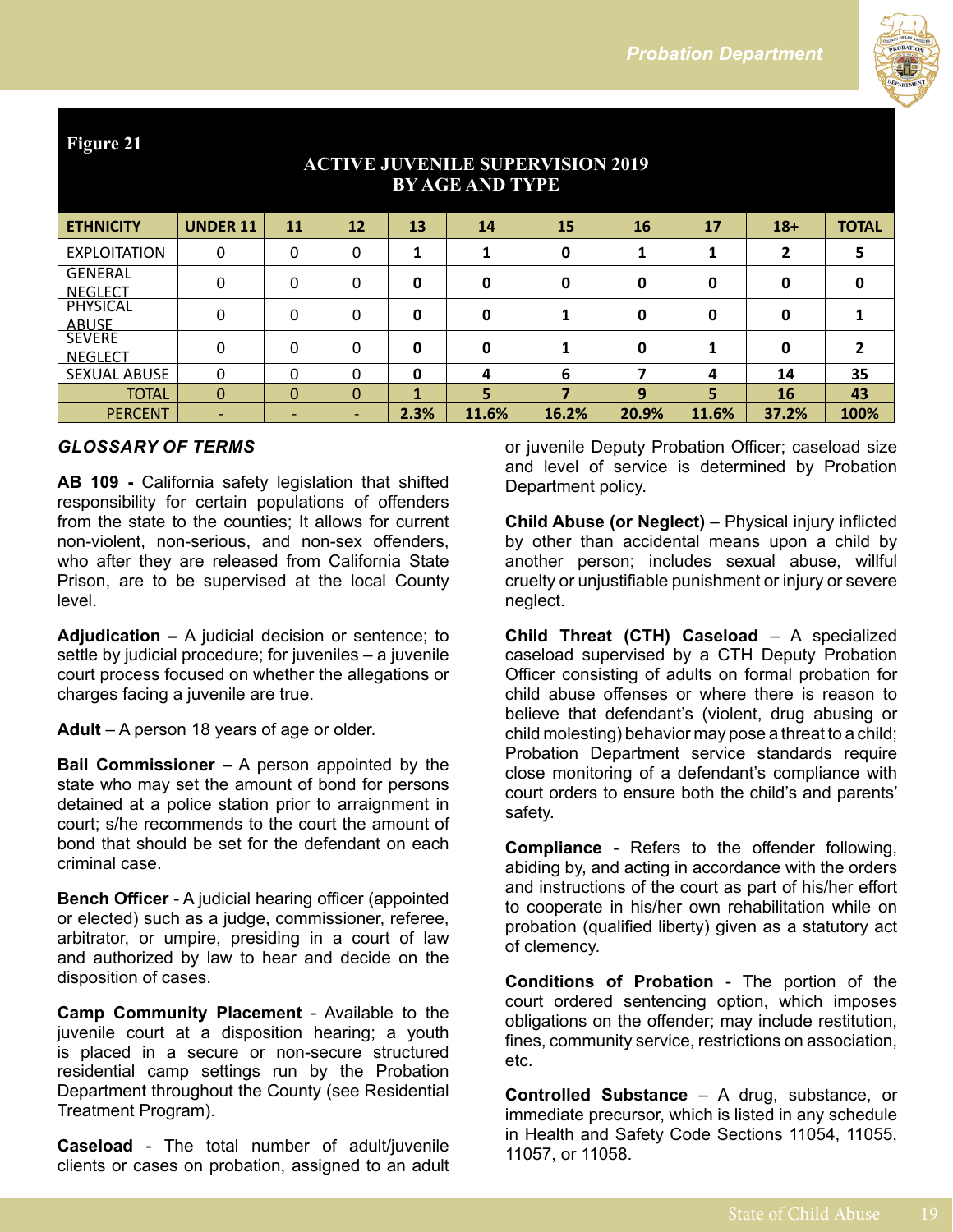

| <b>BY AGE AND TYPE</b>           |                          |              |                          |      |       |       |       |       |       |              |
|----------------------------------|--------------------------|--------------|--------------------------|------|-------|-------|-------|-------|-------|--------------|
| <b>ETHNICITY</b>                 | <b>UNDER 11</b>          | 11           | 12                       | 13   | 14    | 15    | 16    | 17    | $18+$ | <b>TOTAL</b> |
| <b>EXPLOITATION</b>              | 0                        | 0            | 0                        |      |       | 0     |       |       | 2     | 5            |
| <b>GENERAL</b><br><b>NEGLECT</b> | 0                        | 0            | 0                        | 0    | 0     | 0     | 0     | 0     | 0     | 0            |
| PHYSICAL<br><u>ABUSE</u>         | 0                        | 0            | 0                        | 0    | 0     |       | 0     | 0     | 0     |              |
| <b>SEVERE</b><br><b>NEGLECT</b>  | 0                        | 0            | 0                        | 0    | 0     |       | 0     |       | 0     |              |
| <b>SEXUAL ABUSE</b>              | 0                        | <sup>0</sup> | 0                        | 0    | 4     | 6     |       | 4     | 14    | 35           |
| <b>TOTAL</b>                     | $\Omega$                 | $\mathbf 0$  | $\Omega$                 | 1    | 5     | 7     | 9     | 5     | 16    | 43           |
| <b>PERCENT</b>                   | $\overline{\phantom{a}}$ |              | $\overline{\phantom{0}}$ | 2.3% | 11.6% | 16.2% | 20.9% | 11.6% | 37.2% | 100%         |

# **ACTIVE JUVENILE SUPERVISION 2019**

#### *GLOSSARY OF TERMS*

**AB 109 -** California safety legislation that shifted responsibility for certain populations of offenders from the state to the counties; It allows for current non-violent, non-serious, and non-sex offenders, who after they are released from California State Prison, are to be supervised at the local County level.

**Adjudication –** A judicial decision or sentence; to settle by judicial procedure; for juveniles – a juvenile court process focused on whether the allegations or charges facing a juvenile are true.

**Adult** – A person 18 years of age or older.

**Bail Commissioner** – A person appointed by the state who may set the amount of bond for persons detained at a police station prior to arraignment in court; s/he recommends to the court the amount of bond that should be set for the defendant on each criminal case.

**Bench Officer** - A judicial hearing officer (appointed or elected) such as a judge, commissioner, referee, arbitrator, or umpire, presiding in a court of law and authorized by law to hear and decide on the disposition of cases.

**Camp Community Placement** - Available to the juvenile court at a disposition hearing; a youth is placed in a secure or non-secure structured residential camp settings run by the Probation Department throughout the County (see Residential Treatment Program).

**Caseload** - The total number of adult/juvenile clients or cases on probation, assigned to an adult or juvenile Deputy Probation Officer; caseload size and level of service is determined by Probation Department policy.

**Child Abuse (or Neglect)** – Physical injury inflicted by other than accidental means upon a child by another person; includes sexual abuse, willful cruelty or unjustifiable punishment or injury or severe neglect.

**Child Threat (CTH) Caseload** – A specialized caseload supervised by a CTH Deputy Probation Officer consisting of adults on formal probation for child abuse offenses or where there is reason to believe that defendant's (violent, drug abusing or child molesting) behavior may pose a threat to a child; Probation Department service standards require close monitoring of a defendant's compliance with court orders to ensure both the child's and parents' safety.

**Compliance** - Refers to the offender following, abiding by, and acting in accordance with the orders and instructions of the court as part of his/her effort to cooperate in his/her own rehabilitation while on probation (qualified liberty) given as a statutory act of clemency.

**Conditions of Probation** - The portion of the court ordered sentencing option, which imposes obligations on the offender; may include restitution, fines, community service, restrictions on association, etc.

**Controlled Substance** – A drug, substance, or immediate precursor, which is listed in any schedule in Health and Safety Code Sections 11054, 11055, 11057, or 11058.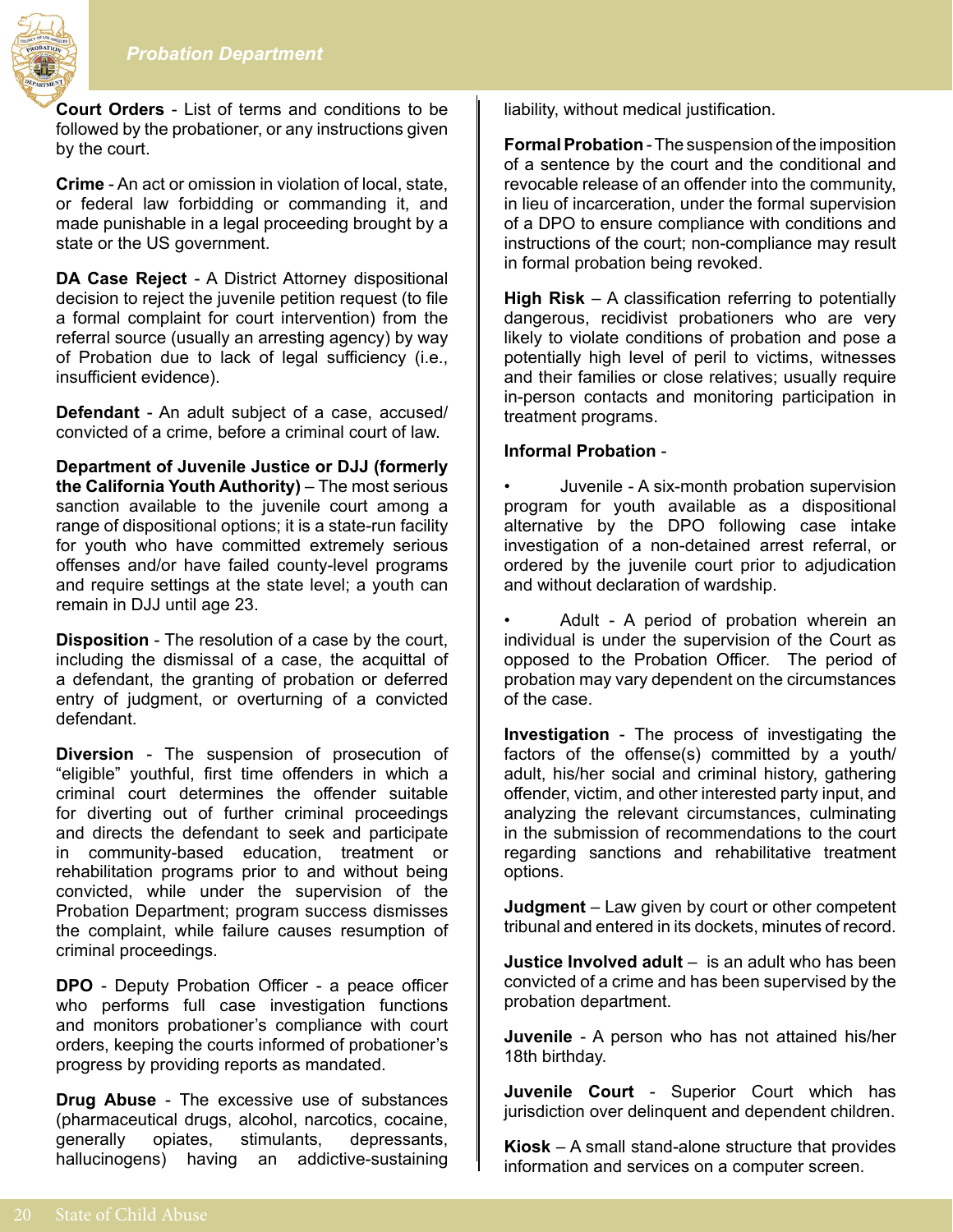

**Court Orders** - List of terms and conditions to be followed by the probationer, or any instructions given by the court.

**Crime** - An act or omission in violation of local, state, or federal law forbidding or commanding it, and made punishable in a legal proceeding brought by a state or the US government.

**DA Case Reject** - A District Attorney dispositional decision to reject the juvenile petition request (to file a formal complaint for court intervention) from the referral source (usually an arresting agency) by way of Probation due to lack of legal sufficiency (i.e., insufficient evidence).

**Defendant** - An adult subject of a case, accused/ convicted of a crime, before a criminal court of law.

**Department of Juvenile Justice or DJJ (formerly the California Youth Authority)** – The most serious sanction available to the juvenile court among a range of dispositional options; it is a state-run facility for youth who have committed extremely serious offenses and/or have failed county-level programs and require settings at the state level; a youth can remain in DJJ until age 23.

**Disposition** - The resolution of a case by the court, including the dismissal of a case, the acquittal of a defendant, the granting of probation or deferred entry of judgment, or overturning of a convicted defendant.

**Diversion** - The suspension of prosecution of "eligible" youthful, first time offenders in which a criminal court determines the offender suitable for diverting out of further criminal proceedings and directs the defendant to seek and participate in community-based education, treatment or rehabilitation programs prior to and without being convicted, while under the supervision of the Probation Department; program success dismisses the complaint, while failure causes resumption of criminal proceedings.

**DPO** - Deputy Probation Officer - a peace officer who performs full case investigation functions and monitors probationer's compliance with court orders, keeping the courts informed of probationer's progress by providing reports as mandated.

**Drug Abuse** - The excessive use of substances (pharmaceutical drugs, alcohol, narcotics, cocaine, generally opiates, stimulants, depressants, hallucinogens) having an addictive-sustaining

liability, without medical justification.

**Formal Probation** - The suspension of the imposition of a sentence by the court and the conditional and revocable release of an offender into the community, in lieu of incarceration, under the formal supervision of a DPO to ensure compliance with conditions and instructions of the court; non-compliance may result in formal probation being revoked.

**High Risk** – A classification referring to potentially dangerous, recidivist probationers who are very likely to violate conditions of probation and pose a potentially high level of peril to victims, witnesses and their families or close relatives; usually require in-person contacts and monitoring participation in treatment programs.

#### **Informal Probation** -

• Juvenile - A six-month probation supervision program for youth available as a dispositional alternative by the DPO following case intake investigation of a non-detained arrest referral, or ordered by the juvenile court prior to adjudication and without declaration of wardship.

Adult - A period of probation wherein an individual is under the supervision of the Court as opposed to the Probation Officer. The period of probation may vary dependent on the circumstances of the case.

**Investigation** - The process of investigating the factors of the offense(s) committed by a youth/ adult, his/her social and criminal history, gathering offender, victim, and other interested party input, and analyzing the relevant circumstances, culminating in the submission of recommendations to the court regarding sanctions and rehabilitative treatment options.

**Judgment** – Law given by court or other competent tribunal and entered in its dockets, minutes of record.

**Justice Involved adult** – is an adult who has been convicted of a crime and has been supervised by the probation department.

**Juvenile** - A person who has not attained his/her 18th birthday.

**Juvenile Court** - Superior Court which has jurisdiction over delinquent and dependent children.

**Kiosk** – A small stand-alone structure that provides information and services on a computer screen.